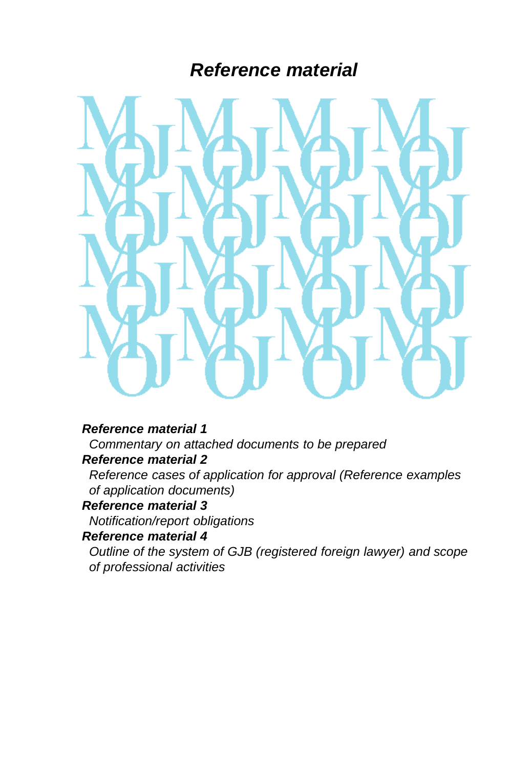# *Reference material*



#### *Reference material 1*

 *Commentary on attached documents to be prepared Reference material 2*

 *Reference cases of application for approval (Reference examples of application documents)*

## *Reference material 3*

 *Notification/report obligations*

## *Reference material 4*

 *Outline of the system of GJB (registered foreign lawyer) and scope of professional activities*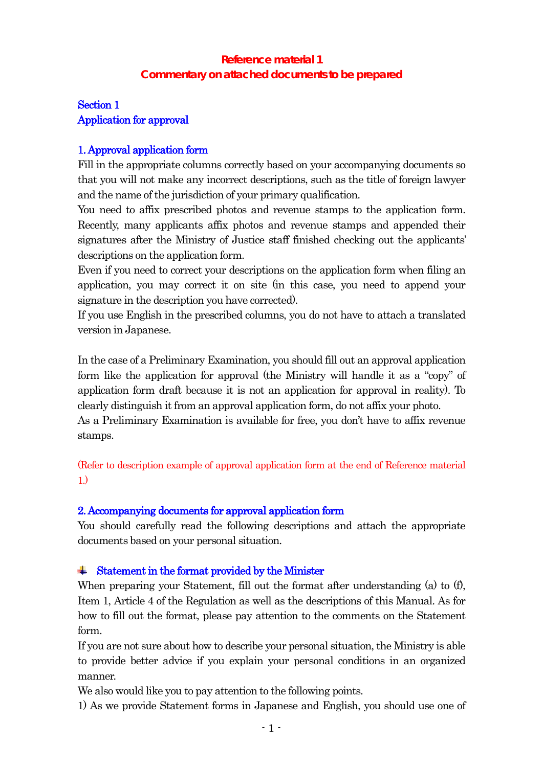# **Reference material 1 Commentary on attached documents to be prepared**

# Section 1 Application for approval

## 1. Approval application form

Fill in the appropriate columns correctly based on your accompanying documents so that you will not make any incorrect descriptions, such as the title of foreign lawyer and the name of the jurisdiction of your primary qualification.

You need to affix prescribed photos and revenue stamps to the application form. Recently, many applicants affix photos and revenue stamps and appended their signatures after the Ministry of Justice staff finished checking out the applicants' descriptions on the application form.

Even if you need to correct your descriptions on the application form when filing an application, you may correct it on site (in this case, you need to append your signature in the description you have corrected).

If you use English in the prescribed columns, you do not have to attach a translated version in Japanese.

In the case of a Preliminary Examination, you should fill out an approval application form like the application for approval (the Ministry will handle it as a "copy" of application form draft because it is not an application for approval in reality). To clearly distinguish it from an approval application form, do not affix your photo. As a Preliminary Examination is available for free, you don't have to affix revenue

stamps.

(Refer to description example of approval application form at the end of Reference material 1.)

## 2. Accompanying documents for approval application form

You should carefully read the following descriptions and attach the appropriate documents based on your personal situation.

#### **.** Statement in the format provided by the Minister

When preparing your Statement, fill out the format after understanding (a) to  $(f)$ , Item 1, Article 4 of the Regulation as well as the descriptions of this Manual. As for how to fill out the format, please pay attention to the comments on the Statement form.

If you are not sure about how to describe your personal situation, the Ministry is able to provide better advice if you explain your personal conditions in an organized manner.

We also would like you to pay attention to the following points.

1) As we provide Statement forms in Japanese and English, you should use one of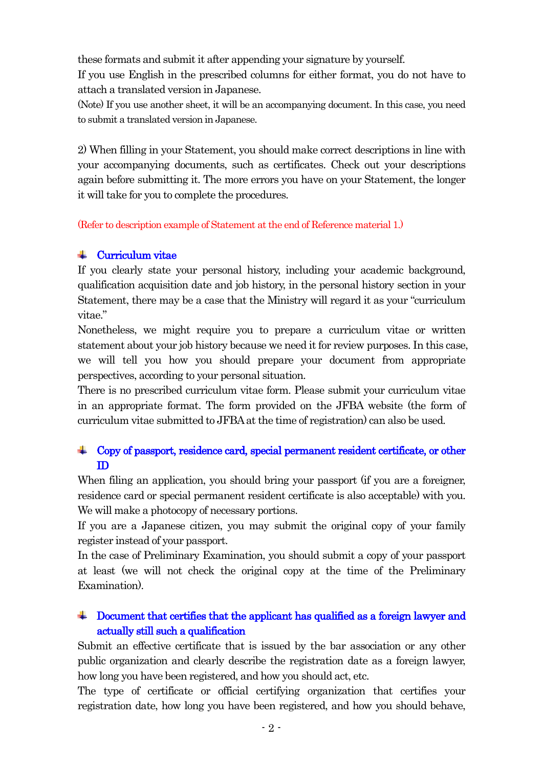these formats and submit it after appending your signature by yourself.

If you use English in the prescribed columns for either format, you do not have to attach a translated version in Japanese.

(Note) If you use another sheet, it will be an accompanying document. In this case, you need to submit a translated version in Japanese.

2) When filling in your Statement, you should make correct descriptions in line with your accompanying documents, such as certificates. Check out your descriptions again before submitting it. The more errors you have on your Statement, the longer it will take for you to complete the procedures.

(Refer to description example of Statement at the end of Reference material 1.)

#### Curriculum vitae - 1

If you clearly state your personal history, including your academic background, qualification acquisition date and job history, in the personal history section in your Statement, there may be a case that the Ministry will regard it as your "curriculum vitae."

Nonetheless, we might require you to prepare a curriculum vitae or written statement about your job history because we need it for review purposes. In this case, we will tell you how you should prepare your document from appropriate perspectives, according to your personal situation.

There is no prescribed curriculum vitae form. Please submit your curriculum vitae in an appropriate format. The form provided on the JFBA website (the form of curriculum vitae submitted to JFBAat the time of registration) can also be used.

#### Copy of passport, residence card, special permanent resident certificate, or other **Barbara** ID

When filing an application, you should bring your passport (if you are a foreigner, residence card or special permanent resident certificate is also acceptable) with you. We will make a photocopy of necessary portions.

If you are a Japanese citizen, you may submit the original copy of your family register instead of your passport.

In the case of Preliminary Examination, you should submit a copy of your passport at least (we will not check the original copy at the time of the Preliminary Examination).

## Document that certifies that the applicant has qualified as a foreign lawyer and actually still such a qualification

Submit an effective certificate that is issued by the bar association or any other public organization and clearly describe the registration date as a foreign lawyer, how long you have been registered, and how you should act, etc.

The type of certificate or official certifying organization that certifies your registration date, how long you have been registered, and how you should behave,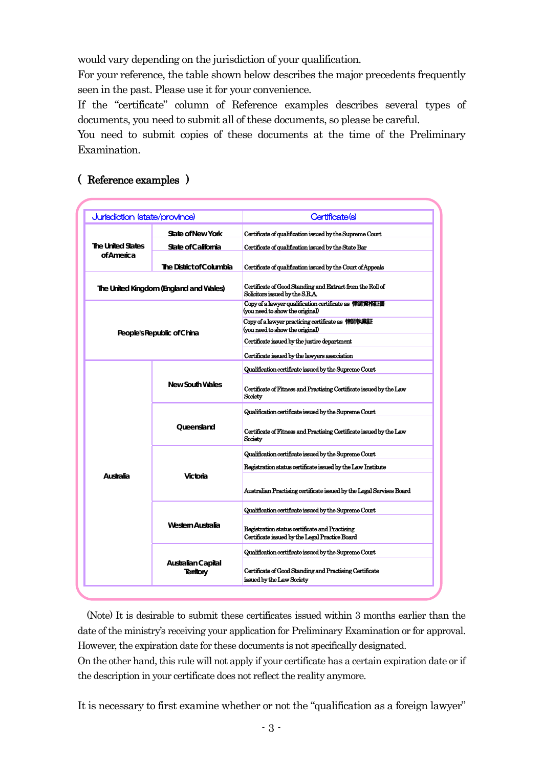would vary depending on the jurisdiction of your qualification.

For your reference, the table shown below describes the major precedents frequently seen in the past. Please use it for your convenience.

If the "certificate" column of Reference examples describes several types of documents, you need to submit all of these documents, so please be careful.

You need to submit copies of these documents at the time of the Preliminary Examination.

#### Certificate(s) State of New York **Certificate of qualification issued by the Supreme Court** State of California **Certificate of qualification issued by the State Bar** The District of Columbia **Certificate of qualification issued by the Court of Appeals** Certificate of Good Standing and Extract from the Roll of Solicitors issued by the S.R.A. Copy of a lawyer qualification certificate as 律師資格証書 (you need to show the original) Copy of a lawyer practicing certificate as 律師執業証 (you need to show the original) Certificate issued by the justice department Certificate issued by the lawyers association Qualification certificate issued by the Supreme Court Certificate of Fitness and Practising Certificate issued by the Law Society Qualification certificate issued by the Supreme Court Certificate of Fitness and Practising Certificate issued by the Law **Society** Qualification certificate issued by the Supreme Court Registration status certificate issued by the Law Institute Australian Practising certificate issued by the Legal Servises Board Qualification certificate issued by the Supreme Court Registration status certificate and Practising Certificate issued by the Legal Practice Board Qualification certificate issued by the Supreme Court Certificate of Good Standing and Practising Certificate issued by the Law Society Jurisdiction (state/province) **The United States of America The United Kingdom (England and Wales) People's Republic of China Western Australia Australian Capital Territory Australia New South Wales Queensland Victoria**

# ( Reference examples )

(Note) It is desirable to submit these certificates issued within 3 months earlier than the date of the ministry's receiving your application for Preliminary Examination or for approval. However, the expiration date for these documents is not specifically designated.

On the other hand, this rule will not apply if your certificate has a certain expiration date or if the description in your certificate does not reflect the reality anymore.

It is necessary to first examine whether or not the "qualification as a foreign lawyer"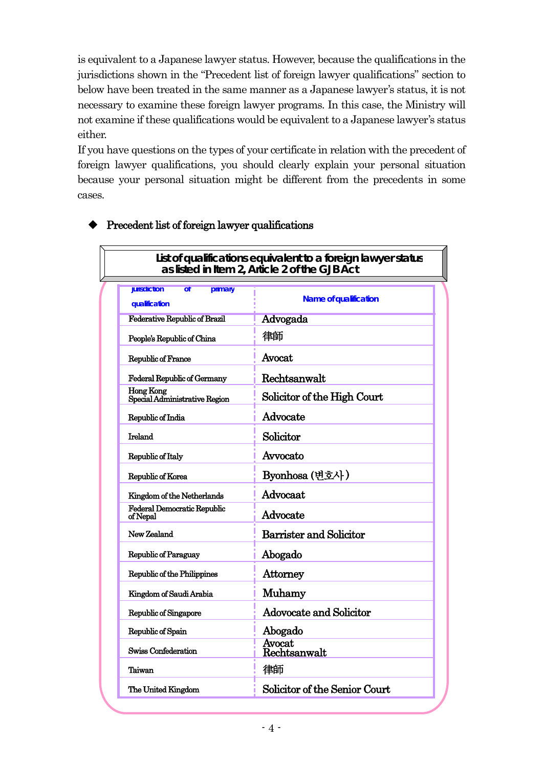is equivalent to a Japanese lawyer status. However, because the qualifications in the jurisdictions shown in the "Precedent list of foreign lawyer qualifications" section to below have been treated in the same manner as a Japanese lawyer's status, it is not necessary to examine these foreign lawyer programs. In this case, the Ministry will not examine if these qualifications would be equivalent to a Japanese lawyer's status either.

If you have questions on the types of your certificate in relation with the precedent of foreign lawyer qualifications, you should clearly explain your personal situation because your personal situation might be different from the precedents in some cases.

| List of qualifications equivalent to a foreign lawyer status<br>as listed in Item 2, Article 2 of the GJB Act |                                |  |  |  |  |
|---------------------------------------------------------------------------------------------------------------|--------------------------------|--|--|--|--|
|                                                                                                               |                                |  |  |  |  |
| jurisdiction<br>$\overline{ot}$<br>primary<br>qualification                                                   | Name of qualification          |  |  |  |  |
| <b>Federative Republic of Brazil</b>                                                                          | Advogada                       |  |  |  |  |
| People's Republic of China                                                                                    | 律師                             |  |  |  |  |
| Republic of France                                                                                            | Avocat.                        |  |  |  |  |
| <b>Federal Republic of Germany</b>                                                                            | Rechtsanwalt                   |  |  |  |  |
| <b>Hong Kong</b><br>Special Administrative Region                                                             | Solicitor of the High Court    |  |  |  |  |
| Republic of India                                                                                             | Advocate                       |  |  |  |  |
| <b>Ireland</b>                                                                                                | Solicitor                      |  |  |  |  |
| Republic of Italy                                                                                             | Avvocato                       |  |  |  |  |
| Republic of Korea                                                                                             | Byonhosa (변호사)                 |  |  |  |  |
| Kingdom of the Netherlands                                                                                    | Advocaat                       |  |  |  |  |
| <b>Federal Democratic Republic</b><br>of Nepal                                                                | Advocate                       |  |  |  |  |
| New Zealand                                                                                                   | <b>Barrister and Solicitor</b> |  |  |  |  |
| Republic of Paraguay                                                                                          | Abogado                        |  |  |  |  |
| Republic of the Philippines                                                                                   | Attorney                       |  |  |  |  |
| Kingdom of Saudi Arabia                                                                                       | Muhamy                         |  |  |  |  |
| Republic of Singapore                                                                                         | Adovocate and Solicitor        |  |  |  |  |
| Republic of Spain                                                                                             | Abogado                        |  |  |  |  |
| Swiss Confederation                                                                                           | Avocat<br>Rechtsanwalt         |  |  |  |  |
| Taiwan                                                                                                        | 律師                             |  |  |  |  |
| The United Kingdom                                                                                            | Solicitor of the Senior Court  |  |  |  |  |

#### $\blacklozenge$  Precedent list of foreign lawyer qualifications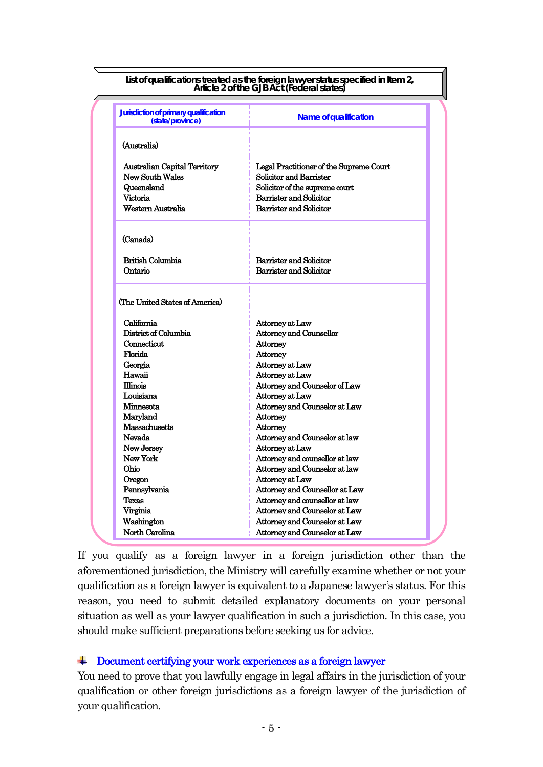|                                                           | List of qualifications treated as the foreign lawyer status specified in Item 2,<br>Article 2 of the GJB Act (Federal states) |
|-----------------------------------------------------------|-------------------------------------------------------------------------------------------------------------------------------|
| Jurisdiction of primary qualification<br>(state/province) | <b>Name of qualification</b>                                                                                                  |
| (Australia)                                               |                                                                                                                               |
| <b>Australian Capital Territory</b>                       | Legal Practitioner of the Supreme Court                                                                                       |
| New South Wales                                           | Solicitor and Barrister                                                                                                       |
| Queensland                                                | Solicitor of the supreme court                                                                                                |
| <b>Victoria</b>                                           | Barrister and Solicitor                                                                                                       |
| Western Australia                                         | Barrister and Solicitor                                                                                                       |
|                                                           |                                                                                                                               |
| (Canada)                                                  |                                                                                                                               |
| <b>British Columbia</b>                                   | Barrister and Solicitor                                                                                                       |
| Ontario                                                   | Barrister and Solicitor                                                                                                       |
| (The United States of America)                            |                                                                                                                               |
| California                                                | Attorney at Law                                                                                                               |
| District of Columbia                                      | <b>Attorney and Counsellor</b>                                                                                                |
| Connecticut                                               | Attorney                                                                                                                      |
| Florida                                                   | Attorney                                                                                                                      |
| Georgia                                                   | Attorney at Law                                                                                                               |
| Hawaii                                                    | Attorney at Law                                                                                                               |
| <b>Illinois</b>                                           | Attorney and Counselor of Law                                                                                                 |
| Louisiana                                                 | Attorney at Law                                                                                                               |
| Minnesota                                                 | Attorney and Counselor at Law                                                                                                 |
| Marvland                                                  | Attorney                                                                                                                      |
| Massachusetts<br>Nevada                                   | Attorney                                                                                                                      |
| New Jersey                                                | Attorney and Counselor at law<br>Attorney at Law                                                                              |
| New York                                                  | Attorney and counsellor at law                                                                                                |
| Ohio                                                      | Attorney and Counselor at law                                                                                                 |
| Oregon                                                    | Attorney at Law                                                                                                               |
| Pennsylvania                                              | Attorney and Counsellor at Law                                                                                                |
| Texas                                                     | Attorney and counsellor at law                                                                                                |
| Virginia                                                  | Attorney and Counselor at Law                                                                                                 |
| Washington                                                | Attorney and Counselor at Law                                                                                                 |
| North Carolina                                            | Attorney and Counselor at Law                                                                                                 |

If you qualify as a foreign lawyer in a foreign jurisdiction other than the aforementioned jurisdiction, the Ministry will carefully examine whether or not your qualification as a foreign lawyer is equivalent to a Japanese lawyer's status. For this reason, you need to submit detailed explanatory documents on your personal situation as well as your lawyer qualification in such a jurisdiction. In this case, you should make sufficient preparations before seeking us for advice.

## Document certifying your work experiences as a foreign lawyer

You need to prove that you lawfully engage in legal affairs in the jurisdiction of your qualification or other foreign jurisdictions as a foreign lawyer of the jurisdiction of your qualification.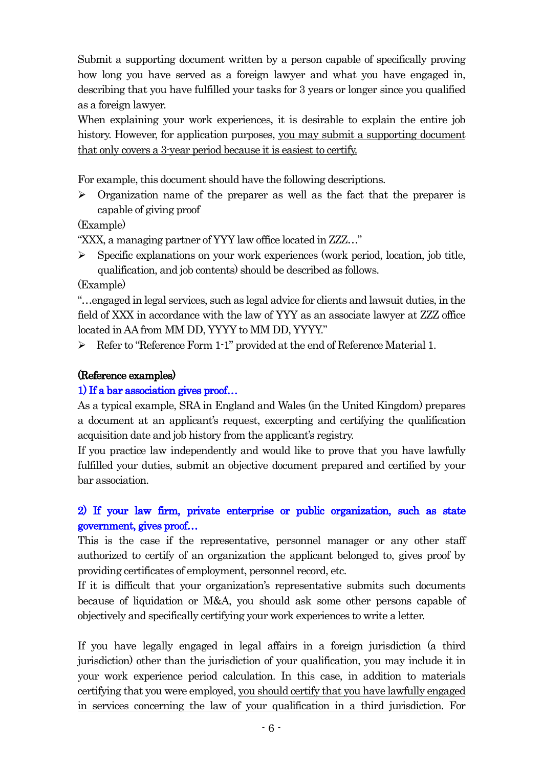Submit a supporting document written by a person capable of specifically proving how long you have served as a foreign lawyer and what you have engaged in, describing that you have fulfilled your tasks for 3 years or longer since you qualified as a foreign lawyer.

When explaining your work experiences, it is desirable to explain the entire job history. However, for application purposes, you may submit a supporting document that only covers a 3-year period because it is easiest to certify.

For example, this document should have the following descriptions.

 $\triangleright$  Organization name of the preparer as well as the fact that the preparer is capable of giving proof

(Example)

"XXX, a managing partner of YYY law office located in ZZZ…"

 $\triangleright$  Specific explanations on your work experiences (work period, location, job title, qualification, and job contents) should be described as follows.

(Example)

"…engaged in legal services, such as legal advice for clients and lawsuit duties, in the field of XXX in accordance with the law of YYY as an associate lawyer at ZZZ office located in AA from MM DD, YYYY to MM DD, YYYY."

 $\triangleright$  Refer to "Reference Form 1-1" provided at the end of Reference Material 1.

## (Reference examples)

## 1) If a bar association gives proof…

As a typical example, SRA in England and Wales (in the United Kingdom) prepares a document at an applicant's request, excerpting and certifying the qualification acquisition date and job history from the applicant's registry.

If you practice law independently and would like to prove that you have lawfully fulfilled your duties, submit an objective document prepared and certified by your bar association.

## 2) If your law firm, private enterprise or public organization, such as state government, gives proof…

This is the case if the representative, personnel manager or any other staff authorized to certify of an organization the applicant belonged to, gives proof by providing certificates of employment, personnel record, etc.

If it is difficult that your organization's representative submits such documents because of liquidation or M&A, you should ask some other persons capable of objectively and specifically certifying your work experiences to write a letter.

If you have legally engaged in legal affairs in a foreign jurisdiction (a third jurisdiction) other than the jurisdiction of your qualification, you may include it in your work experience period calculation. In this case, in addition to materials certifying that you were employed, you should certify that you have lawfully engaged in services concerning the law of your qualification in a third jurisdiction. For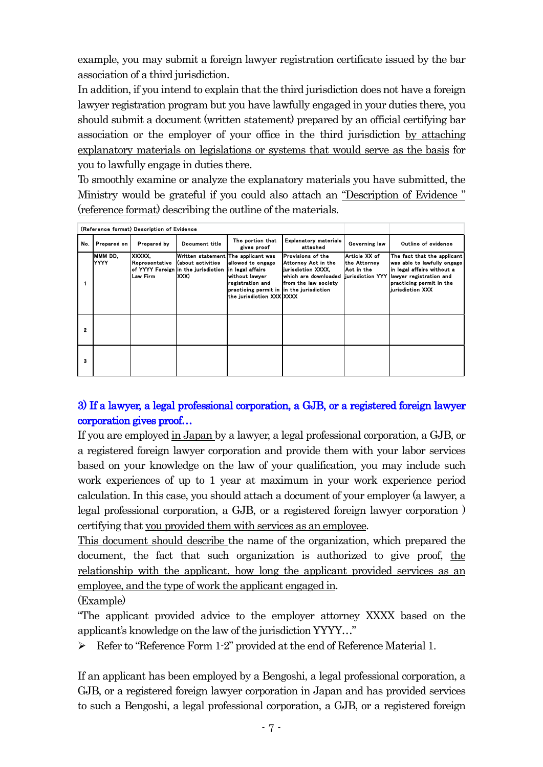example, you may submit a foreign lawyer registration certificate issued by the bar association of a third jurisdiction.

In addition, if you intend to explain that the third jurisdiction does not have a foreign lawyer registration program but you have lawfully engaged in your duties there, you should submit a document (written statement) prepared by an official certifying bar association or the employer of your office in the third jurisdiction by attaching explanatory materials on legislations or systems that would serve as the basis for you to lawfully engage in duties there.

To smoothly examine or analyze the explanatory materials you have submitted, the Ministry would be grateful if you could also attach an "Description of Evidence " (reference format) describing the outline of the materials.

|     |                 | (Reference format) Description of Evidence |                                                                                                          |                                                                                                                                                     |                                                                                                                  |                                                                  |                                                                                                                                                                      |
|-----|-----------------|--------------------------------------------|----------------------------------------------------------------------------------------------------------|-----------------------------------------------------------------------------------------------------------------------------------------------------|------------------------------------------------------------------------------------------------------------------|------------------------------------------------------------------|----------------------------------------------------------------------------------------------------------------------------------------------------------------------|
| No. | Prepared on     | Prepared by                                | Document title                                                                                           | The portion that<br>gives proof                                                                                                                     | <b>Explanatory materials</b><br>attached                                                                         | <b>Governing law</b>                                             | Outline of evidence                                                                                                                                                  |
|     | MMM DD.<br>YYYY | <b>XXXXX</b><br>Representative<br>Law Firm | Written statement The applicant was<br>(about activities<br>of YYYY Foreign in the jurisdiction<br>IXXX) | allowed to engage<br>in legal affairs<br>without lawyer<br>registration and<br>practicing permit in in the jurisdiction<br>the jurisdiction XXX XXX | Provisions of the<br>Attorney Act in the<br>liurisdiction XXXX.<br>lwhich are downloaded<br>from the law society | Article XX of<br>the Attorney<br>Act in the<br>liurisdiction YYY | The fact that the applicant<br>was able to lawfully engage<br>in legal affairs without a<br>lawyer registration and<br>practicing permit in the<br>liurisdiction XXX |
| 2   |                 |                                            |                                                                                                          |                                                                                                                                                     |                                                                                                                  |                                                                  |                                                                                                                                                                      |
| з   |                 |                                            |                                                                                                          |                                                                                                                                                     |                                                                                                                  |                                                                  |                                                                                                                                                                      |

## 3) If a lawyer, a legal professional corporation, a GJB, or a registered foreign lawyer corporation gives proof…

If you are employed in Japan by a lawyer, a legal professional corporation, a GJB, or a registered foreign lawyer corporation and provide them with your labor services based on your knowledge on the law of your qualification, you may include such work experiences of up to 1 year at maximum in your work experience period calculation. In this case, you should attach a document of your employer (a lawyer, a legal professional corporation, a GJB, or a registered foreign lawyer corporation ) certifying that you provided them with services as an employee.

This document should describe the name of the organization, which prepared the document, the fact that such organization is authorized to give proof, the relationship with the applicant, how long the applicant provided services as an employee, and the type of work the applicant engaged in.

(Example)

"The applicant provided advice to the employer attorney XXXX based on the applicant's knowledge on the law of the jurisdiction YYYY…"

 $\triangleright$  Refer to "Reference Form 1-2" provided at the end of Reference Material 1.

If an applicant has been employed by a Bengoshi, a legal professional corporation, a GJB, or a registered foreign lawyer corporation in Japan and has provided services to such a Bengoshi, a legal professional corporation, a GJB, or a registered foreign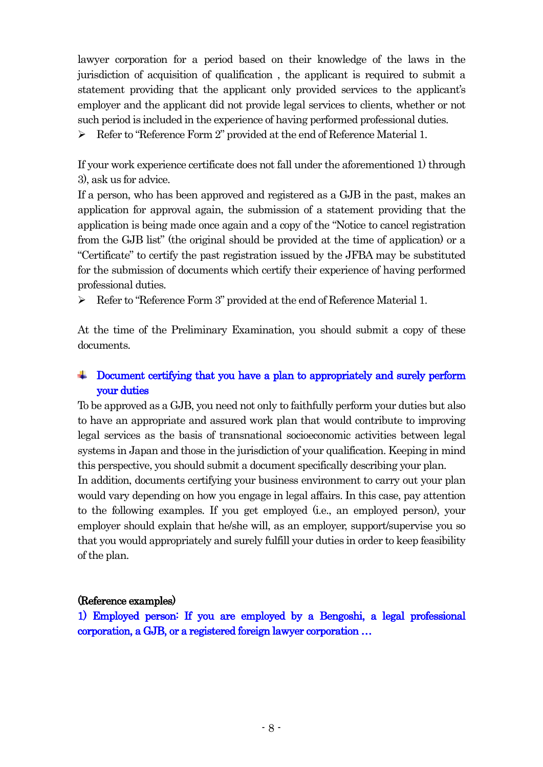lawyer corporation for a period based on their knowledge of the laws in the jurisdiction of acquisition of qualification , the applicant is required to submit a statement providing that the applicant only provided services to the applicant's employer and the applicant did not provide legal services to clients, whether or not such period is included in the experience of having performed professional duties.

Refer to "Reference Form 2" provided at the end of Reference Material 1.

If your work experience certificate does not fall under the aforementioned 1) through 3), ask us for advice.

If a person, who has been approved and registered as a GJB in the past, makes an application for approval again, the submission of a statement providing that the application is being made once again and a copy of the "Notice to cancel registration from the GJB list" (the original should be provided at the time of application) or a "Certificate" to certify the past registration issued by the JFBA may be substituted for the submission of documents which certify their experience of having performed professional duties.

Refer to "Reference Form 3" provided at the end of Reference Material 1.

At the time of the Preliminary Examination, you should submit a copy of these documents.

#### Document certifying that you have a plan to appropriately and surely perform and in your duties

To be approved as a GJB, you need not only to faithfully perform your duties but also to have an appropriate and assured work plan that would contribute to improving legal services as the basis of transnational socioeconomic activities between legal systems in Japan and those in the jurisdiction of your qualification. Keeping in mind this perspective, you should submit a document specifically describing your plan.

In addition, documents certifying your business environment to carry out your plan would vary depending on how you engage in legal affairs. In this case, pay attention to the following examples. If you get employed (i.e., an employed person), your employer should explain that he/she will, as an employer, support/supervise you so that you would appropriately and surely fulfill your duties in order to keep feasibility of the plan.

## (Reference examples)

1) Employed person: If you are employed by a Bengoshi, a legal professional corporation, a GJB, or a registered foreign lawyer corporation …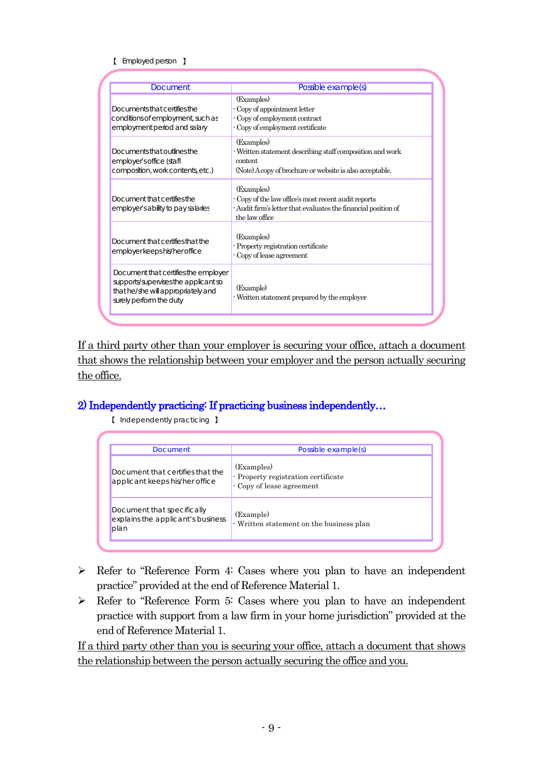#### 【 Employed person 】

| Document                                                                                                                                      | Possible example(s)                                                                                                                                    |
|-----------------------------------------------------------------------------------------------------------------------------------------------|--------------------------------------------------------------------------------------------------------------------------------------------------------|
| Documents that certifies the<br>conditions of employment, such as<br>employment period and salary                                             | (Examples)<br>- Copy of appointment letter<br>- Copy of employment contract<br>- Copy of employment certificate                                        |
| Documents that outlines the<br>employer's office (staff<br>composition, work contents, etc.)                                                  | (Examples)<br>- Written statement describing staff composition and work<br>content<br>(Note) A copy of brochure or website is also acceptable.         |
| Document that certifies the<br>employer's ability to pay salaries                                                                             | (Examples)<br>- Copy of the law office's most recent audit reports<br>- Audit firm's letter that evaluates the financial position of<br>the law office |
| Document that certifies that the<br>employer keeps his/her office                                                                             | (Examples)<br>- Property registration certificate<br>- Copy of lease agreement                                                                         |
| Document that certifies the employer<br>supports/supervises the applicant so<br>that he/she will appropriately and<br>surely perform the duty | (Example)<br>- Written statement prepared by the employer                                                                                              |

If a third party other than your employer is securing your office, attach a document that shows the relationship between your employer and the person actually securing the office.

## 2) Independently practicing: If practicing business independently…

【 Independently practicing 】

| Document                                                                | Possible example(s)                                                            |
|-------------------------------------------------------------------------|--------------------------------------------------------------------------------|
| Document that certifies that the<br>applicant keeps his/her office      | (Examples)<br>- Property registration certificate<br>- Copy of lease agreement |
| Document that specifically<br>explains the applicant's business<br>plan | (Example)<br>- Written statement on the business plan                          |

- Refer to "Reference Form 4: Cases where you plan to have an independent practice" provided at the end of Reference Material 1.
- $\triangleright$  Refer to "Reference Form 5: Cases where you plan to have an independent practice with support from a law firm in your home jurisdiction" provided at the end of Reference Material 1.

If a third party other than you is securing your office, attach a document that shows the relationship between the person actually securing the office and you.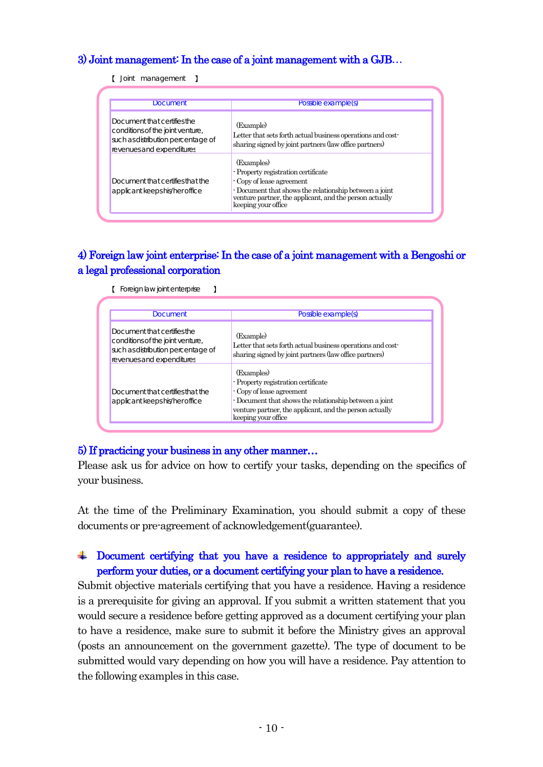## 3) Joint management: In the case of a joint management with a GJB…

【 Joint management 】

| <b>Document</b>                                                                                                                    | Possible example(s)                                                                                                                                                                                                        |
|------------------------------------------------------------------------------------------------------------------------------------|----------------------------------------------------------------------------------------------------------------------------------------------------------------------------------------------------------------------------|
| Document that certifies the<br>conditions of the joint venture,<br>such as distribution percentage of<br>revenues and expenditures | (Example)<br>Letter that sets forth actual business operations and cost-<br>sharing signed by joint partners (law office partners)                                                                                         |
| Document that certifies that the<br>applicant keeps his/her office                                                                 | (Examples)<br>- Property registration certificate<br>- Copy of lease agreement<br>- Document that shows the relationship between a joint<br>venture partner, the applicant, and the person actually<br>keeping your office |

## 4) Foreign law joint enterprise: In the case of a joint management with a Bengoshi or a legal professional corporation

| <b>Document</b>                                                                                                                    | Possible example(s)                                                                                                                                                                                                        |
|------------------------------------------------------------------------------------------------------------------------------------|----------------------------------------------------------------------------------------------------------------------------------------------------------------------------------------------------------------------------|
|                                                                                                                                    |                                                                                                                                                                                                                            |
| Document that certifies the<br>conditions of the joint venture,<br>such as distribution percentage of<br>revenues and expenditures | (Example)<br>Letter that sets forth actual business operations and cost-<br>sharing signed by joint partners (law office partners)                                                                                         |
| Document that certifies that the<br>applicant keeps his/her office                                                                 | (Examples)<br>- Property registration certificate<br>- Copy of lease agreement<br>- Document that shows the relationship between a joint<br>venture partner, the applicant, and the person actually<br>keeping your office |

【 Foreign law joint enterprise 】

#### 5) If practicing your business in any other manner…

Please ask us for advice on how to certify your tasks, depending on the specifics of your business.

At the time of the Preliminary Examination, you should submit a copy of these documents or pre-agreement of acknowledgement(guarantee).

## Document certifying that you have a residence to appropriately and surely perform your duties, or a document certifying your plan to have a residence.

Submit objective materials certifying that you have a residence. Having a residence is a prerequisite for giving an approval. If you submit a written statement that you would secure a residence before getting approved as a document certifying your plan to have a residence, make sure to submit it before the Ministry gives an approval (posts an announcement on the government gazette). The type of document to be submitted would vary depending on how you will have a residence. Pay attention to the following examples in this case.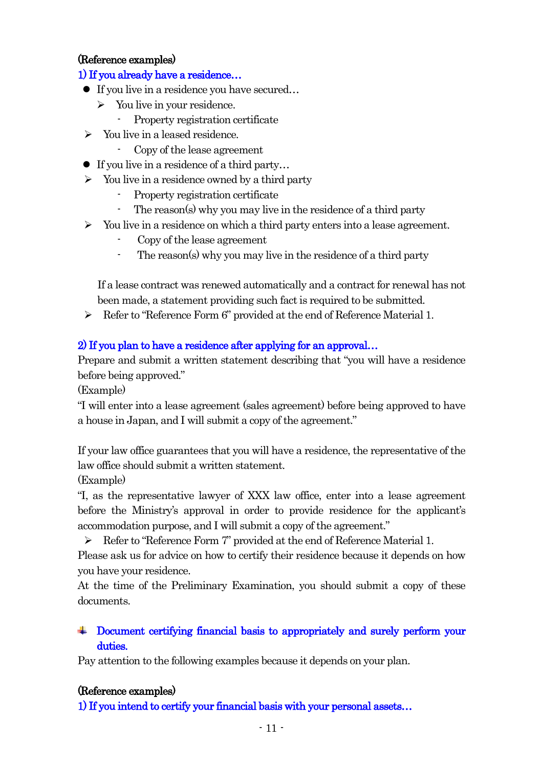#### (Reference examples)

#### 1) If you already have a residence…

- If you live in a residence you have secured...
	- $\triangleright$  You live in your residence.
		- Property registration certificate
- $\triangleright$  You live in a leased residence.
	- Copy of the lease agreement
- If you live in a residence of a third party...
- $\triangleright$  You live in a residence owned by a third party
	- Property registration certificate
	- The reason(s) why you may live in the residence of a third party
- $\triangleright$  You live in a residence on which a third party enters into a lease agreement.
	- Copy of the lease agreement
	- The reason(s) why you may live in the residence of a third party

If a lease contract was renewed automatically and a contract for renewal has not been made, a statement providing such fact is required to be submitted.

Refer to "Reference Form 6" provided at the end of Reference Material 1.

## 2) If you plan to have a residence after applying for an approval…

Prepare and submit a written statement describing that "you will have a residence before being approved."

(Example)

"I will enter into a lease agreement (sales agreement) before being approved to have a house in Japan, and I will submit a copy of the agreement."

If your law office guarantees that you will have a residence, the representative of the law office should submit a written statement.

(Example)

"I, as the representative lawyer of XXX law office, enter into a lease agreement before the Ministry's approval in order to provide residence for the applicant's accommodation purpose, and I will submit a copy of the agreement."

Refer to "Reference Form 7" provided at the end of Reference Material 1.

Please ask us for advice on how to certify their residence because it depends on how you have your residence.

At the time of the Preliminary Examination, you should submit a copy of these documents.

## Document certifying financial basis to appropriately and surely perform your duties.

Pay attention to the following examples because it depends on your plan.

#### (Reference examples)

1) If you intend to certify your financial basis with your personal assets…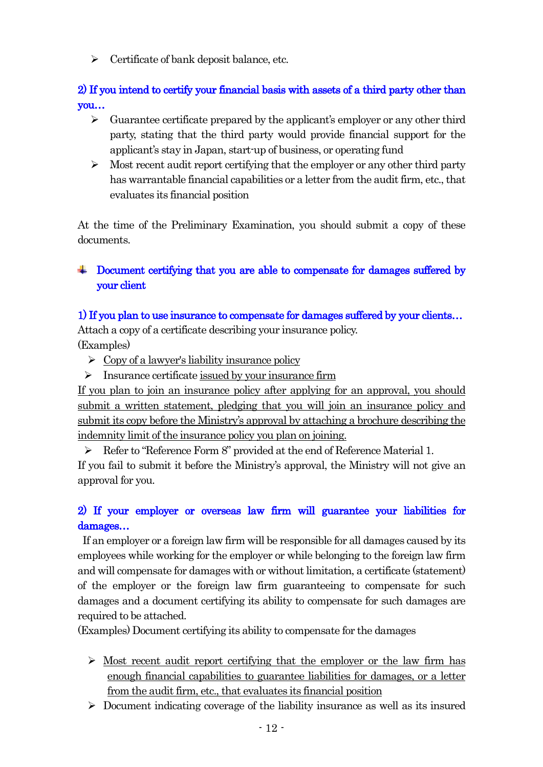$\triangleright$  Certificate of bank deposit balance, etc.

2) If you intend to certify your financial basis with assets of a third party other than you…

- $\triangleright$  Guarantee certificate prepared by the applicant's employer or any other third party, stating that the third party would provide financial support for the applicant's stay in Japan, start-up of business, or operating fund
- $\triangleright$  Most recent audit report certifying that the employer or any other third party has warrantable financial capabilities or a letter from the audit firm, etc., that evaluates its financial position

At the time of the Preliminary Examination, you should submit a copy of these documents.

## **EXECUTE:** Document certifying that you are able to compensate for damages suffered by your client

## 1) If you plan to use insurance to compensate for damages suffered by your clients…

Attach a copy of a certificate describing your insurance policy. (Examples)

- $\triangleright$  Copy of a lawyer's liability insurance policy
- $\triangleright$  Insurance certificate issued by your insurance firm

If you plan to join an insurance policy after applying for an approval, you should submit a written statement, pledging that you will join an insurance policy and submit its copy before the Ministry's approval by attaching a brochure describing the indemnity limit of the insurance policy you plan on joining.

Refer to "Reference Form 8" provided at the end of Reference Material 1.

If you fail to submit it before the Ministry's approval, the Ministry will not give an approval for you.

## 2) If your employer or overseas law firm will guarantee your liabilities for damages…

If an employer or a foreign law firm will be responsible for all damages caused by its employees while working for the employer or while belonging to the foreign law firm and will compensate for damages with or without limitation, a certificate (statement) of the employer or the foreign law firm guaranteeing to compensate for such damages and a document certifying its ability to compensate for such damages are required to be attached.

(Examples) Document certifying its ability to compensate for the damages

- $\triangleright$  Most recent audit report certifying that the employer or the law firm has enough financial capabilities to guarantee liabilities for damages, or a letter from the audit firm, etc., that evaluates its financial position
- $\triangleright$  Document indicating coverage of the liability insurance as well as its insured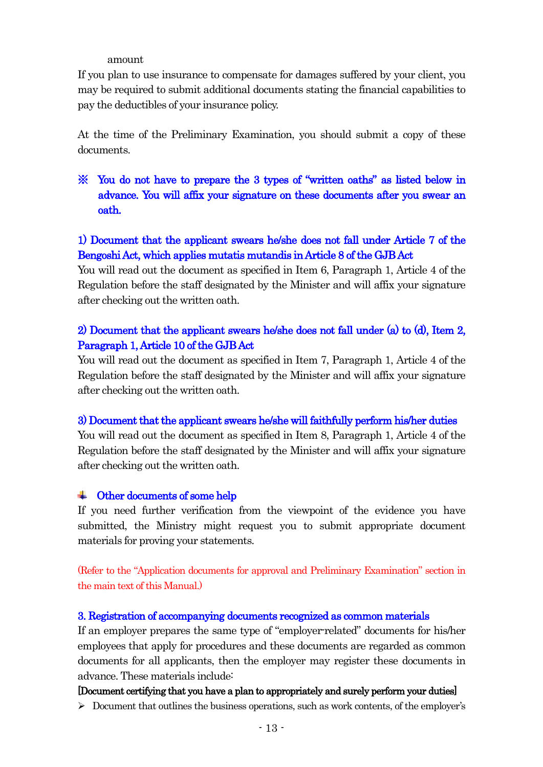amount

If you plan to use insurance to compensate for damages suffered by your client, you may be required to submit additional documents stating the financial capabilities to pay the deductibles of your insurance policy.

At the time of the Preliminary Examination, you should submit a copy of these documents.

※ You do not have to prepare the 3 types of "written oaths" as listed below in advance. You will affix your signature on these documents after you swear an oath.

## 1) Document that the applicant swears he/she does not fall under Article 7 of the Bengoshi Act, which applies mutatis mutandis in Article 8 of the GJB Act

You will read out the document as specified in Item 6, Paragraph 1, Article 4 of the Regulation before the staff designated by the Minister and will affix your signature after checking out the written oath.

## 2) Document that the applicant swears he/she does not fall under (a) to (d), Item 2, Paragraph 1, Article 10 of the GJB Act

You will read out the document as specified in Item 7, Paragraph 1, Article 4 of the Regulation before the staff designated by the Minister and will affix your signature after checking out the written oath.

## 3) Document that the applicant swears he/she will faithfully perform his/her duties

You will read out the document as specified in Item 8, Paragraph 1, Article 4 of the Regulation before the staff designated by the Minister and will affix your signature after checking out the written oath.

## Other documents of some help

If you need further verification from the viewpoint of the evidence you have submitted, the Ministry might request you to submit appropriate document materials for proving your statements.

(Refer to the "Application documents for approval and Preliminary Examination" section in the main text of this Manual.)

## 3. Registration of accompanying documents recognized as common materials

If an employer prepares the same type of "employer-related" documents for his/her employees that apply for procedures and these documents are regarded as common documents for all applicants, then the employer may register these documents in advance. These materials include:

## [Document certifying that you have a plan to appropriately and surely perform your duties]

Document that outlines the business operations, such as work contents, of the employer's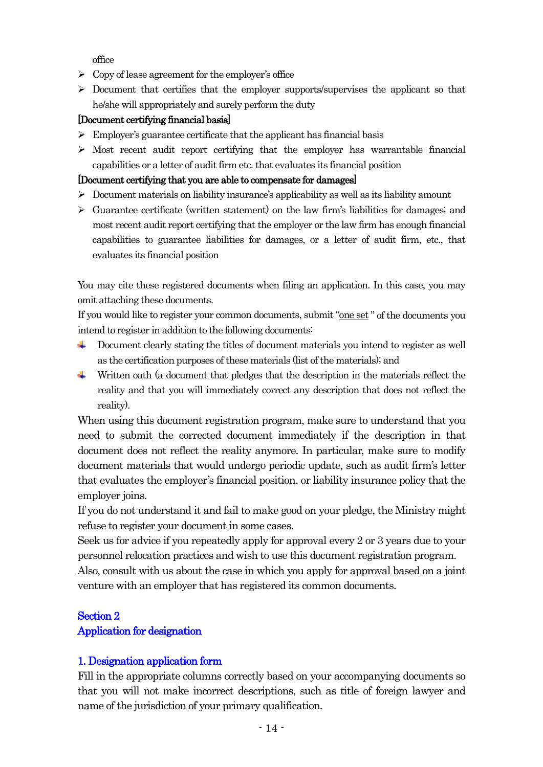office

- $\triangleright$  Copy of lease agreement for the employer's office
- $\triangleright$  Document that certifies that the employer supports/supervises the applicant so that he/she will appropriately and surely perform the duty

#### [Document certifying financial basis]

- $\triangleright$  Employer's guarantee certificate that the applicant has financial basis
- $\triangleright$  Most recent audit report certifying that the employer has warrantable financial capabilities or a letter of audit firm etc.that evaluates its financial position

#### [Document certifying that you are able to compensate for damages]

- $\triangleright$  Document materials on liability insurance's applicability as well as its liability amount
- $\triangleright$  Guarantee certificate (written statement) on the law firm's liabilities for damages; and most recent audit report certifying that the employer or the law firm has enough financial capabilities to guarantee liabilities for damages, or a letter of audit firm, etc., that evaluates its financial position

You may cite these registered documents when filing an application. In this case, you may omit attaching these documents.

If you would like to register your common documents, submit "one set " of the documents you intend to register in addition to the following documents:

- Document clearly stating the titles of document materials you intend to register as well ÷ as the certification purposes of these materials (list of the materials); and
- Written oath (a document that pledges that the description in the materials reflect the reality and that you will immediately correct any description that does not reflect the reality).

When using this document registration program, make sure to understand that you need to submit the corrected document immediately if the description in that document does not reflect the reality anymore. In particular, make sure to modify document materials that would undergo periodic update, such as audit firm's letter that evaluates the employer's financial position, or liability insurance policy that the employer joins.

If you do not understand it and fail to make good on your pledge, the Ministry might refuse to register your document in some cases.

Seek us for advice if you repeatedly apply for approval every 2 or 3 years due to your personnel relocation practices and wish to use this document registration program.

Also, consult with us about the case in which you apply for approval based on a joint venture with an employer that has registered its common documents.

# Section 2

## Application for designation

## 1. Designation application form

Fill in the appropriate columns correctly based on your accompanying documents so that you will not make incorrect descriptions, such as title of foreign lawyer and name of the jurisdiction of your primary qualification.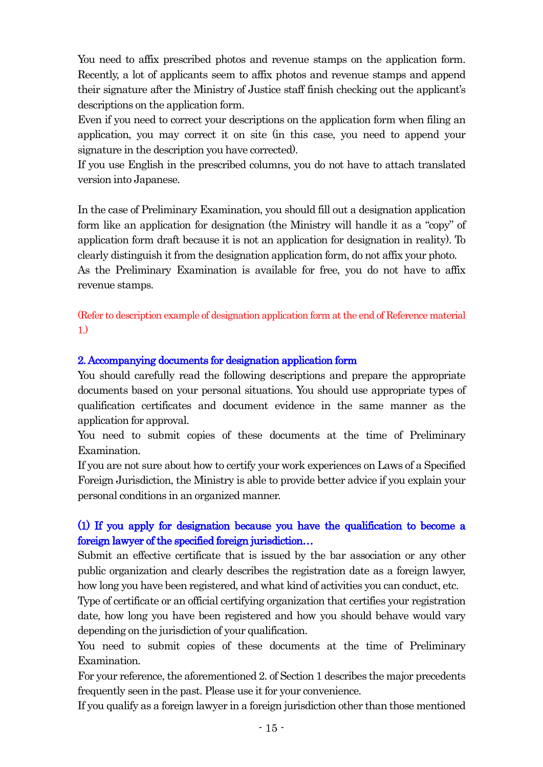You need to affix prescribed photos and revenue stamps on the application form. Recently, a lot of applicants seem to affix photos and revenue stamps and append their signature after the Ministry of Justice staff finish checking out the applicant's descriptions on the application form.

Even if you need to correct your descriptions on the application form when filing an application, you may correct it on site (in this case, you need to append your signature in the description you have corrected).

If you use English in the prescribed columns, you do not have to attach translated version into Japanese.

In the case of Preliminary Examination, you should fill out a designation application form like an application for designation (the Ministry will handle it as a "copy" of application form draft because it is not an application for designation in reality). To clearly distinguish it from the designation application form, do not affix your photo. As the Preliminary Examination is available for free, you do not have to affix

revenue stamps.

(Refer to description example of designation application form at the end of Reference material 1.)

## 2. Accompanying documents for designation application form

You should carefully read the following descriptions and prepare the appropriate documents based on your personal situations. You should use appropriate types of qualification certificates and document evidence in the same manner as the application for approval.

You need to submit copies of these documents at the time of Preliminary Examination.

If you are not sure about how to certify your work experiences on Laws of a Specified Foreign Jurisdiction, the Ministry is able to provide better advice if you explain your personal conditions in an organized manner.

## (1) If you apply for designation because you have the qualification to become a foreign lawyer of the specified foreign jurisdiction…

Submit an effective certificate that is issued by the bar association or any other public organization and clearly describes the registration date as a foreign lawyer, how long you have been registered, and what kind of activities you can conduct, etc.

Type of certificate or an official certifying organization that certifies your registration date, how long you have been registered and how you should behave would vary depending on the jurisdiction of your qualification.

You need to submit copies of these documents at the time of Preliminary Examination.

For your reference, the aforementioned 2. of Section 1 describes the major precedents frequently seen in the past. Please use it for your convenience.

If you qualify as a foreign lawyer in a foreign jurisdiction other than those mentioned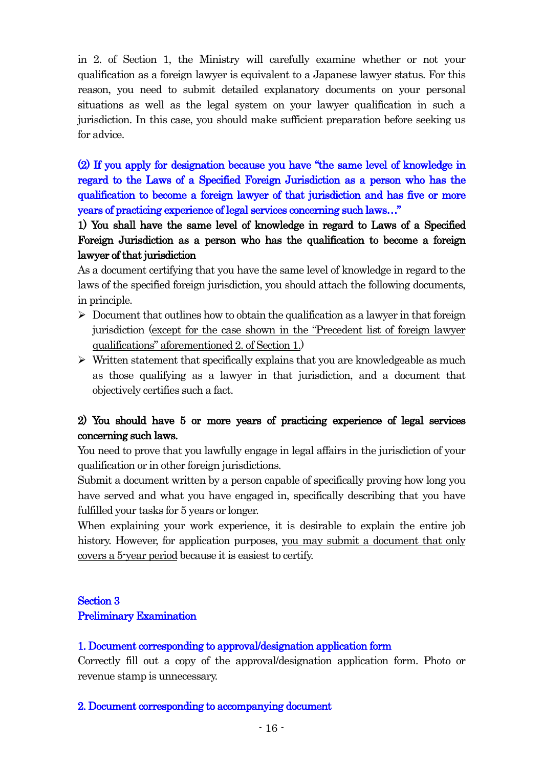in 2. of Section 1, the Ministry will carefully examine whether or not your qualification as a foreign lawyer is equivalent to a Japanese lawyer status. For this reason, you need to submit detailed explanatory documents on your personal situations as well as the legal system on your lawyer qualification in such a jurisdiction. In this case, you should make sufficient preparation before seeking us for advice.

(2) If you apply for designation because you have "the same level of knowledge in regard to the Laws of a Specified Foreign Jurisdiction as a person who has the qualification to become a foreign lawyer of that jurisdiction and has five or more years of practicing experience of legal services concerning such laws…"

1) You shall have the same level of knowledge in regard to Laws of a Specified Foreign Jurisdiction as a person who has the qualification to become a foreign lawyer of that jurisdiction

As a document certifying that you have the same level of knowledge in regard to the laws of the specified foreign jurisdiction, you should attach the following documents, in principle.

- $\triangleright$  Document that outlines how to obtain the qualification as a lawyer in that foreign jurisdiction (except for the case shown in the "Precedent list of foreign lawyer qualifications" aforementioned 2. of Section 1.)
- $\triangleright$  Written statement that specifically explains that you are knowledgeable as much as those qualifying as a lawyer in that jurisdiction, and a document that objectively certifies such a fact.

## 2) You should have 5 or more years of practicing experience of legal services concerning such laws.

You need to prove that you lawfully engage in legal affairs in the jurisdiction of your qualification or in other foreign jurisdictions.

Submit a document written by a person capable of specifically proving how long you have served and what you have engaged in, specifically describing that you have fulfilled your tasks for 5 years or longer.

When explaining your work experience, it is desirable to explain the entire job history. However, for application purposes, you may submit a document that only covers a 5-year period because it is easiest to certify.

## Section 3 Preliminary Examination

## 1. Document corresponding to approval/designation application form

Correctly fill out a copy of the approval/designation application form. Photo or revenue stamp is unnecessary.

#### 2. Document corresponding to accompanying document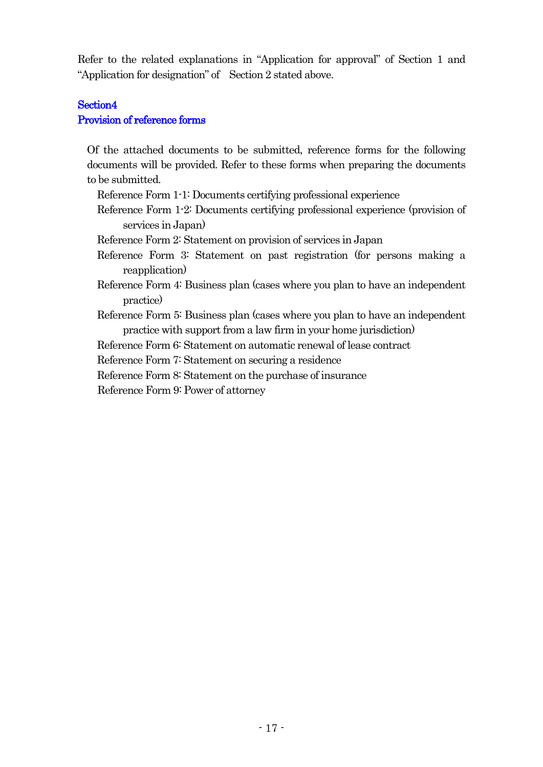Refer to the related explanations in "Application for approval" of Section 1 and "Application for designation" of Section 2 stated above.

## Section4 Provision of reference forms

Of the attached documents to be submitted, reference forms for the following documents will be provided. Refer to these forms when preparing the documents to be submitted.

- Reference Form 1-1: Documents certifying professional experience
- Reference Form 1-2: Documents certifying professional experience (provision of services in Japan)
- Reference Form 2: Statement on provision of services in Japan
- Reference Form 3: Statement on past registration (for persons making a reapplication)
- Reference Form 4: Business plan (cases where you plan to have an independent practice)
- Reference Form 5: Business plan (cases where you plan to have an independent practice with support from a law firm in your home jurisdiction)

Reference Form 6: Statement on automatic renewal of lease contract

Reference Form 7: Statement on securing a residence

Reference Form 8: Statement on the purchase of insurance

Reference Form 9: Power of attorney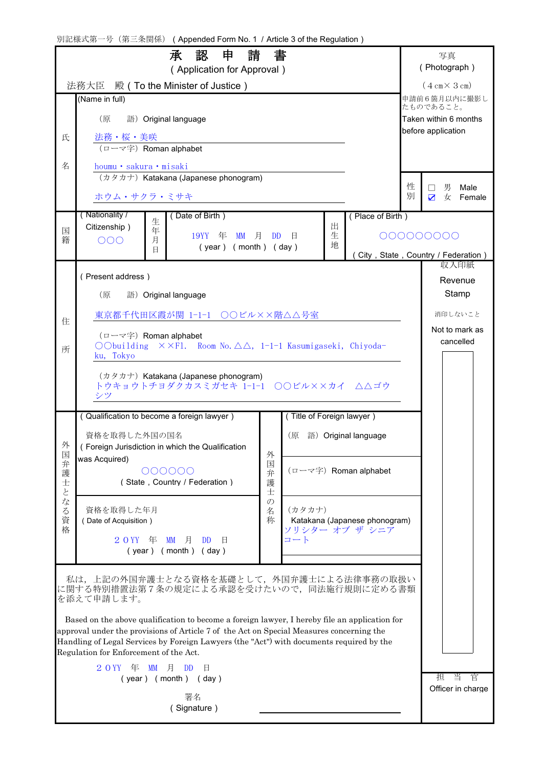| 別記様式第一号 (第三条関係) (Appended Form No. 1 / Article 3 of the Regulation) |                                                                                                                                                                                                                                |                    |                          |                                             |                                                 |   |                                            |  |  |  |
|---------------------------------------------------------------------|--------------------------------------------------------------------------------------------------------------------------------------------------------------------------------------------------------------------------------|--------------------|--------------------------|---------------------------------------------|-------------------------------------------------|---|--------------------------------------------|--|--|--|
|                                                                     | 申<br>請<br>承<br>認<br>(Application for Approval)                                                                                                                                                                                 | 書                  |                          |                                             |                                                 |   | 写真<br>(Photograph)                         |  |  |  |
|                                                                     | 法務大臣 殿(To the Minister of Justice)                                                                                                                                                                                             |                    |                          |                                             |                                                 |   | $(4 \text{ cm} \times 3 \text{ cm})$       |  |  |  |
|                                                                     | (Name in full)                                                                                                                                                                                                                 |                    |                          |                                             |                                                 |   | 申請前6箇月以内に撮影し<br>たものであること。                  |  |  |  |
|                                                                     | (原<br>語) Original language                                                                                                                                                                                                     |                    |                          | Taken within 6 months<br>before application |                                                 |   |                                            |  |  |  |
| 氏                                                                   | 法務・桜・美咲<br>(ローマ字) Roman alphabet                                                                                                                                                                                               |                    |                          |                                             |                                                 |   |                                            |  |  |  |
| 名                                                                   | houmu · sakura · misaki                                                                                                                                                                                                        |                    |                          |                                             |                                                 |   |                                            |  |  |  |
|                                                                     | (カタカナ) Katakana (Japanese phonogram)                                                                                                                                                                                           |                    |                          |                                             |                                                 | 性 | 男<br>Male<br>$\vert \ \ \vert$             |  |  |  |
|                                                                     | ホウム・サクラ・ミサキ                                                                                                                                                                                                                    |                    |                          |                                             |                                                 | 別 | $\overline{\mathbf{z}}$<br>女<br>Female     |  |  |  |
|                                                                     | (Nationality /<br>Date of Birth)<br>生<br>Citizenship)                                                                                                                                                                          |                    |                          | 出                                           | (Place of Birth)                                |   |                                            |  |  |  |
| 国<br>籍                                                              | 年<br>19YY<br>年<br><b>MM</b><br>月<br>月<br>OOO                                                                                                                                                                                   | <b>DD</b>          | 日                        | 生<br>地                                      |                                                 |   | 000000000                                  |  |  |  |
|                                                                     | $(year)$ (month) (day)<br>日                                                                                                                                                                                                    |                    |                          |                                             |                                                 |   | City, State, Country / Federation)<br>収入印紙 |  |  |  |
|                                                                     | (Present address)                                                                                                                                                                                                              |                    |                          |                                             |                                                 |   | Revenue                                    |  |  |  |
|                                                                     | (原<br>語) Original language                                                                                                                                                                                                     |                    |                          |                                             |                                                 |   | Stamp                                      |  |  |  |
| 住                                                                   | 東京都千代田区霞が関 1-1-1 ○○ビル××階△△号室                                                                                                                                                                                                   |                    |                          |                                             |                                                 |   | 消印しないこと                                    |  |  |  |
|                                                                     | (ローマ字) Roman alphabet                                                                                                                                                                                                          |                    |                          |                                             |                                                 |   | Not to mark as<br>cancelled                |  |  |  |
| 所                                                                   | OObuilding $\times$ $\times$ Fl. Room No. $\triangle$ $\triangle$ , 1-1-1 Kasumigaseki, Chiyoda-<br>ku, Tokyo                                                                                                                  |                    |                          |                                             |                                                 |   |                                            |  |  |  |
|                                                                     | (カタカナ) Katakana (Japanese phonogram)                                                                                                                                                                                           |                    |                          |                                             |                                                 |   |                                            |  |  |  |
|                                                                     | トウキョウトチョダクカスミガセキ 1-1-1 ○○ビル××カイ △△ゴウ                                                                                                                                                                                           |                    |                          |                                             |                                                 |   |                                            |  |  |  |
|                                                                     | (Qualification to become a foreign lawyer)                                                                                                                                                                                     |                    | Title of Foreign lawyer) |                                             |                                                 |   |                                            |  |  |  |
|                                                                     | 資格を取得した外国の国名                                                                                                                                                                                                                   |                    | (原                       |                                             | 語) Original language                            |   |                                            |  |  |  |
| 外<br>国                                                              | (Foreign Jurisdiction in which the Qualification                                                                                                                                                                               | 外                  |                          |                                             |                                                 |   |                                            |  |  |  |
| 弁<br>護                                                              | was Acquired)<br>000000                                                                                                                                                                                                        | 国<br>弁             |                          |                                             | (ローマ字) Roman alphabet                           |   |                                            |  |  |  |
| 士<br>$\overline{\zeta}$                                             | (State, Country / Federation)                                                                                                                                                                                                  | 護<br>士             |                          |                                             |                                                 |   |                                            |  |  |  |
| な<br>$\zeta$                                                        | 資格を取得した年月                                                                                                                                                                                                                      | $\mathcal{O}$<br>名 | (カタカナ)                   |                                             |                                                 |   |                                            |  |  |  |
| 資<br>格                                                              | (Date of Acquisition)                                                                                                                                                                                                          | 称                  |                          |                                             | Katakana (Japanese phonogram)<br>ソリシター オブ ザ シニア |   |                                            |  |  |  |
|                                                                     | $20YY \oplus M$ 月<br><b>DD</b><br>日<br>$(year)$ (month) (day)                                                                                                                                                                  |                    | コート                      |                                             |                                                 |   |                                            |  |  |  |
|                                                                     |                                                                                                                                                                                                                                |                    |                          |                                             |                                                 |   |                                            |  |  |  |
|                                                                     | 私は,上記の外国弁護士となる資格を基礎として,外国弁護士による法律事務の取扱い<br>に関する特別措置法第7条の規定による承認を受けたいので、同法施行規則に定める書類                                                                                                                                            |                    |                          |                                             |                                                 |   |                                            |  |  |  |
|                                                                     | を添えて申請します。                                                                                                                                                                                                                     |                    |                          |                                             |                                                 |   |                                            |  |  |  |
|                                                                     | Based on the above qualification to become a foreign lawyer, I hereby file an application for                                                                                                                                  |                    |                          |                                             |                                                 |   |                                            |  |  |  |
|                                                                     | approval under the provisions of Article 7 of the Act on Special Measures concerning the<br>Handling of Legal Services by Foreign Lawyers (the "Act") with documents required by the<br>Regulation for Enforcement of the Act. |                    |                          |                                             |                                                 |   |                                            |  |  |  |
|                                                                     | $\text{MM}$ 月<br>2 O YY<br>年<br>DD.<br>日                                                                                                                                                                                       |                    |                          |                                             |                                                 |   |                                            |  |  |  |
|                                                                     | $(year)$ (month) (day)                                                                                                                                                                                                         |                    |                          |                                             |                                                 |   | 当<br>官<br>担<br>Officer in charge           |  |  |  |
|                                                                     | 署名<br>(Signature)                                                                                                                                                                                                              |                    |                          |                                             |                                                 |   |                                            |  |  |  |
|                                                                     |                                                                                                                                                                                                                                |                    |                          |                                             |                                                 |   |                                            |  |  |  |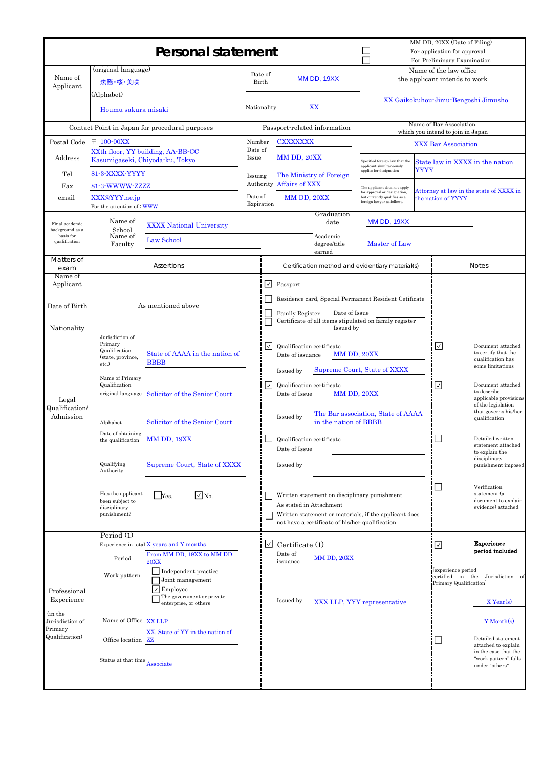|                                                                     | <b>Personal statement</b>                                                                                                                                                                                                                                                                                                                                                                                                                                                              |                       | MM DD, 20XX (Date of Filing)<br>For application for approval<br>For Preliminary Examination |                                                                                                                                                                                                                                                                                                                                                                             |                                                                                                                           |      |                                                                       |                                                                                                                                                                                                                                                                                                                                                                                              |
|---------------------------------------------------------------------|----------------------------------------------------------------------------------------------------------------------------------------------------------------------------------------------------------------------------------------------------------------------------------------------------------------------------------------------------------------------------------------------------------------------------------------------------------------------------------------|-----------------------|---------------------------------------------------------------------------------------------|-----------------------------------------------------------------------------------------------------------------------------------------------------------------------------------------------------------------------------------------------------------------------------------------------------------------------------------------------------------------------------|---------------------------------------------------------------------------------------------------------------------------|------|-----------------------------------------------------------------------|----------------------------------------------------------------------------------------------------------------------------------------------------------------------------------------------------------------------------------------------------------------------------------------------------------------------------------------------------------------------------------------------|
| Name of                                                             | (original language)<br>法務·桜·美咲                                                                                                                                                                                                                                                                                                                                                                                                                                                         | Date of<br>Birth      |                                                                                             | MM DD, 19XX                                                                                                                                                                                                                                                                                                                                                                 |                                                                                                                           |      | Name of the law office<br>the applicant intends to work               |                                                                                                                                                                                                                                                                                                                                                                                              |
| Applicant                                                           | (Alphabet)<br>Houmu sakura misaki                                                                                                                                                                                                                                                                                                                                                                                                                                                      | Nationality           |                                                                                             | XX                                                                                                                                                                                                                                                                                                                                                                          |                                                                                                                           |      | XX Gaikokuhou-Jimu-Bengoshi Jimusho                                   |                                                                                                                                                                                                                                                                                                                                                                                              |
|                                                                     | Contact Point in Japan for procedural purposes                                                                                                                                                                                                                                                                                                                                                                                                                                         |                       |                                                                                             | Passport-related information                                                                                                                                                                                                                                                                                                                                                |                                                                                                                           |      | Name of Bar Association,<br>which you intend to join in Japan         |                                                                                                                                                                                                                                                                                                                                                                                              |
| Postal Code                                                         | $\bar{T}$ 100-00XX                                                                                                                                                                                                                                                                                                                                                                                                                                                                     | Number<br>Date of     |                                                                                             | <b>CXXXXXXX</b>                                                                                                                                                                                                                                                                                                                                                             |                                                                                                                           |      | <b>XXX Bar Association</b>                                            |                                                                                                                                                                                                                                                                                                                                                                                              |
| Address                                                             | XXth floor, YY building, AA-BB-CC<br>Kasumigaseki, Chiyoda-ku, Tokyo                                                                                                                                                                                                                                                                                                                                                                                                                   | Issue                 |                                                                                             | MM DD, 20XX                                                                                                                                                                                                                                                                                                                                                                 | Specified foreign law that the<br>applicant simultaneously                                                                |      |                                                                       | State law in XXXX in the nation                                                                                                                                                                                                                                                                                                                                                              |
| Tel<br>Fax                                                          | 81-3-XXXX-YYYY<br>81-3-WWWW-ZZZZ                                                                                                                                                                                                                                                                                                                                                                                                                                                       | Issuing               |                                                                                             | The Ministry of Foreign<br>Authority Affairs of XXX                                                                                                                                                                                                                                                                                                                         | applies for designation                                                                                                   | YYYY |                                                                       |                                                                                                                                                                                                                                                                                                                                                                                              |
| email                                                               | XXX@YYY.ne.jp                                                                                                                                                                                                                                                                                                                                                                                                                                                                          | Date of<br>Expiration |                                                                                             | MM DD, 20XX                                                                                                                                                                                                                                                                                                                                                                 | The applicant does not apply<br>for approval or designation,<br>but currently qualifies as a<br>oreign lawyer as follows. |      | the nation of YYYY                                                    | Attorney at law in the state of XXXX in                                                                                                                                                                                                                                                                                                                                                      |
| Final academic<br>background as a                                   | For the attention of WWW<br>Name of<br><b>XXXX National University</b><br>School                                                                                                                                                                                                                                                                                                                                                                                                       |                       |                                                                                             | Graduation<br>date                                                                                                                                                                                                                                                                                                                                                          | MM DD, 19XX                                                                                                               |      |                                                                       |                                                                                                                                                                                                                                                                                                                                                                                              |
| basis for<br>qualification                                          | Name of<br>Law School<br>Faculty                                                                                                                                                                                                                                                                                                                                                                                                                                                       |                       |                                                                                             | Academic<br>degree/title<br>earned                                                                                                                                                                                                                                                                                                                                          | Master of Law                                                                                                             |      |                                                                       |                                                                                                                                                                                                                                                                                                                                                                                              |
| Matters of<br>exam                                                  | Assertions                                                                                                                                                                                                                                                                                                                                                                                                                                                                             |                       |                                                                                             | Certification method and evidentiary material(s)                                                                                                                                                                                                                                                                                                                            |                                                                                                                           |      |                                                                       | <b>Notes</b>                                                                                                                                                                                                                                                                                                                                                                                 |
| Name of<br>Applicant                                                |                                                                                                                                                                                                                                                                                                                                                                                                                                                                                        |                       | l√l                                                                                         | Passport                                                                                                                                                                                                                                                                                                                                                                    |                                                                                                                           |      |                                                                       |                                                                                                                                                                                                                                                                                                                                                                                              |
| Date of Birth                                                       | As mentioned above                                                                                                                                                                                                                                                                                                                                                                                                                                                                     |                       |                                                                                             | Residence card, Special Permanent Resident Cetificate<br>Date of Issue<br><b>Family Register</b>                                                                                                                                                                                                                                                                            |                                                                                                                           |      |                                                                       |                                                                                                                                                                                                                                                                                                                                                                                              |
| Nationality                                                         |                                                                                                                                                                                                                                                                                                                                                                                                                                                                                        |                       |                                                                                             | Certificate of all items stipulated on family register<br>Issued by                                                                                                                                                                                                                                                                                                         |                                                                                                                           |      |                                                                       |                                                                                                                                                                                                                                                                                                                                                                                              |
| Legal<br>Qualification/<br>Admission                                | Jurisdiction of<br>Primary<br>Qualification<br>State of AAAA in the nation of<br>(state, province,<br><b>BBBB</b><br>etc.)<br>Name of Primary<br>Qualification<br>original language Solicitor of the Senior Court<br>Solicitor of the Senior Court<br>Alphabet<br>Date of obtaining<br>MM DD, 19XX<br>the qualification<br>Qualifying<br>Supreme Court, State of XXXX<br>Authority<br>Has the applicant<br>$\Box$ No.<br>$\Box$ Yes.<br>been subject to<br>disciplinary<br>punishment? |                       | $ \vee $<br>$\overline{\vee}$                                                               | Qualification certificate<br>MM DD, 20XX<br>Date of issuance<br>Issued by<br>Qualification certificate<br>MM DD, 20XX<br>Date of Issue<br>Issued by<br>in the nation of BBBB<br>Qualification certificate<br>Date of Issue<br>Issued by<br>Written statement on disciplinary punishment<br>As stated in Attachment<br>Written statement or materials, if the applicant does | Supreme Court, State of XXXX<br>The Bar association, State of AAAA                                                        |      | ☑<br>$\overline{\vee}$                                                | Document attached<br>to certify that the<br>qualification has<br>some limitations<br>Document attached<br>to describe<br>applicable provisions<br>of the legislation<br>that governs his/her<br>qualification<br>Detailed written<br>statement attached<br>to explain the<br>disciplinary<br>punishment imposed<br>Verification<br>statement (a<br>document to explain<br>evidence) attached |
|                                                                     | Period $(1)$                                                                                                                                                                                                                                                                                                                                                                                                                                                                           |                       |                                                                                             | not have a certificate of his/her qualification                                                                                                                                                                                                                                                                                                                             |                                                                                                                           |      |                                                                       |                                                                                                                                                                                                                                                                                                                                                                                              |
| Professional<br>Experience<br>(in the<br>Jurisdiction of<br>Primary | Experience in total X years and Y months<br>From MM DD, 19XX to MM DD,<br>Period<br><b>20XX</b><br>$\Box$ Independent practice<br>Work pattern<br>Joint management<br>$\sqrt{\frac{1}{2}}$ Employee<br>The government or private<br>enterprise, or others<br>Name of Office XX LLP                                                                                                                                                                                                     |                       | $\vee$                                                                                      | Certificate (1)<br>Date of<br>MM DD, 20XX<br>issuance<br>Issued by                                                                                                                                                                                                                                                                                                          | XXX LLP, YYY representative                                                                                               |      | ☑<br>[experience period<br>certified in the<br>Primary Qualification] | <b>Experience</b><br>period included<br>Jurisdiction of<br>X Year(s)<br>Y Month(s)                                                                                                                                                                                                                                                                                                           |
| Qualification)                                                      | XX, State of YY in the nation of<br>Office location ZZ<br>Status at that time<br>Associate                                                                                                                                                                                                                                                                                                                                                                                             |                       |                                                                                             |                                                                                                                                                                                                                                                                                                                                                                             |                                                                                                                           |      |                                                                       | Detailed statement<br>attached to explain<br>in the case that the<br>"work pattern" falls<br>under "others"                                                                                                                                                                                                                                                                                  |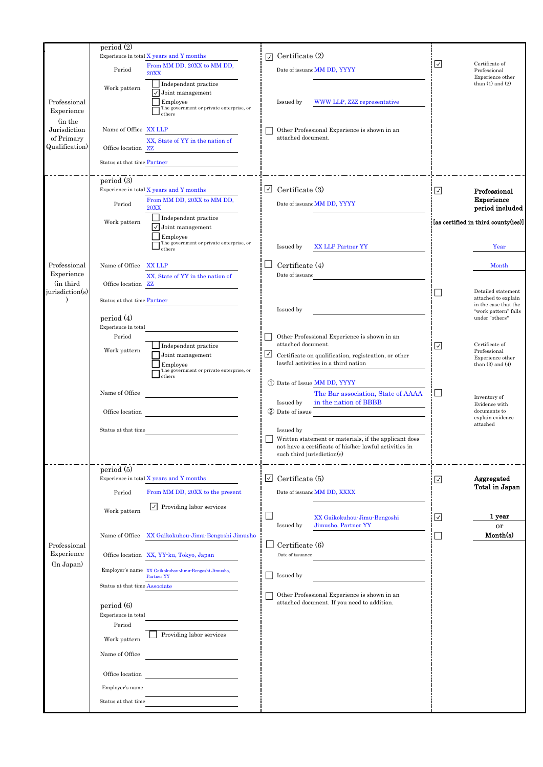|                            | period(2)                                                          |        |                                                                                                                 |                          |                                             |
|----------------------------|--------------------------------------------------------------------|--------|-----------------------------------------------------------------------------------------------------------------|--------------------------|---------------------------------------------|
|                            | Experience in total X years and Y months                           | ☑      | Certificate (2)                                                                                                 | ☑                        | Certificate of                              |
|                            | From MM DD, 20XX to MM DD,<br>Period<br><b>20XX</b>                |        | Date of issuanc MM DD, YYYY                                                                                     |                          | Professional                                |
|                            | Independent practice                                               |        |                                                                                                                 |                          | Experience other<br>than $(1)$ and $(2)$    |
|                            | Work pattern<br>$\sqrt{\ }$ Joint management                       |        |                                                                                                                 |                          |                                             |
| Professional               | Employee<br>The government or private enterprise, or               |        | Issued by<br>WWW LLP, ZZZ representative                                                                        |                          |                                             |
| Experience                 | others                                                             |        |                                                                                                                 |                          |                                             |
| (in the<br>Jurisdiction    | Name of Office XX LLP                                              |        | Other Professional Experience is shown in an                                                                    |                          |                                             |
| of Primary                 | XX, State of YY in the nation of                                   |        | attached document.                                                                                              |                          |                                             |
| Qualification)             | Office location ZZ                                                 |        |                                                                                                                 |                          |                                             |
|                            | Status at that time Partner                                        |        |                                                                                                                 |                          |                                             |
|                            |                                                                    |        |                                                                                                                 |                          |                                             |
|                            | period(3)<br>Experience in total X years and Y months              | $\vee$ | Certificate (3)                                                                                                 | ☑                        | Professional                                |
|                            | From MM DD, 20XX to MM DD,                                         |        |                                                                                                                 |                          | Experience                                  |
|                            | Period<br><b>20XX</b>                                              |        | Date of issuanc MM DD, YYYY                                                                                     |                          | period included                             |
|                            | $\Box$ Independent practice<br>Work pattern                        |        |                                                                                                                 |                          | [as certified in third county(ies)]         |
|                            | $\overline{\smash{\bigtriangledown}}$ Joint management<br>Employee |        |                                                                                                                 |                          |                                             |
|                            | The government or private enterprise, or<br>others                 |        | Issued by<br><b>XX LLP Partner YY</b>                                                                           |                          | Year                                        |
|                            |                                                                    |        |                                                                                                                 |                          |                                             |
| Professional               | Name of Office<br><b>XX LLP</b>                                    |        | Certificate (4)                                                                                                 |                          | Month                                       |
| Experience<br>(in third    | XX, State of YY in the nation of<br>Office location ZZ             |        | Date of issuanc                                                                                                 |                          |                                             |
| jurisdiction(s)            |                                                                    |        |                                                                                                                 |                          | Detailed statement                          |
|                            | Status at that time Partner                                        |        |                                                                                                                 |                          | attached to explain<br>in the case that the |
|                            | period $(4)$                                                       |        | Issued by                                                                                                       |                          | "work pattern" falls<br>under "others"      |
|                            | Experience in total                                                |        |                                                                                                                 |                          |                                             |
|                            | Period                                                             |        | Other Professional Experience is shown in an                                                                    |                          |                                             |
|                            | Independent practice<br>Work pattern                               |        | attached document.                                                                                              | ☑                        | Certificate of<br>Professional              |
|                            | Joint management<br>Employee                                       | $\vee$ | Certificate on qualification, registration, or other<br>lawful activities in a third nation                     |                          | Experience other<br>than $(3)$ and $(4)$    |
|                            | The government or private enterprise, or<br>others                 |        |                                                                                                                 |                          |                                             |
|                            |                                                                    |        | 1) Date of Issue MM DD, YYYY                                                                                    |                          |                                             |
|                            | Name of Office                                                     |        | The Bar association, State of AAAA                                                                              | $\overline{\phantom{a}}$ | Inventory of                                |
|                            | Office location                                                    |        | in the nation of BBBB<br>Issued by<br>2 Date of issue                                                           |                          | Evidence with<br>documents to               |
|                            |                                                                    |        |                                                                                                                 |                          | explain evidence<br>attached                |
|                            | Status at that time                                                |        | Issued by                                                                                                       |                          |                                             |
|                            |                                                                    |        | Written statement or materials, if the applicant does<br>not have a certificate of his/her lawful activities in |                          |                                             |
|                            |                                                                    |        | such third jurisdiction(s)                                                                                      |                          |                                             |
|                            | period(5)                                                          |        |                                                                                                                 |                          |                                             |
|                            | Experience in total X years and Y months                           | $\vee$ | Certificate (5)                                                                                                 | ☑                        | Aggregated                                  |
|                            | From MM DD, 20XX to the present<br>Period                          |        | Date of issuanc MM DD, XXXX                                                                                     |                          | Total in Japan                              |
|                            | $\vee$ Providing labor services                                    |        |                                                                                                                 |                          |                                             |
|                            | Work pattern                                                       |        | XX Gaikokuhou-Jimu-Bengoshi                                                                                     | ☑                        | 1 year                                      |
|                            |                                                                    |        | Jimusho, Partner YY<br>Issued by                                                                                |                          | or                                          |
|                            | Name of Office XX Gaikokuhou-Jimu-Bengoshi Jimusho                 |        |                                                                                                                 | ×                        | Month(s)                                    |
| Professional<br>Experience |                                                                    |        | Certificate (6)                                                                                                 |                          |                                             |
| (In Japan)                 | Office location XX, YY-ku, Tokyo, Japan                            |        | Date of issuance                                                                                                |                          |                                             |
|                            | Employer's name XX Gaikokuhou-Jimu-Bengoshi Jimusho,<br>Partner YY |        | Issued by                                                                                                       |                          |                                             |
|                            | Status at that time Associate                                      |        |                                                                                                                 |                          |                                             |
|                            |                                                                    |        | Other Professional Experience is shown in an                                                                    |                          |                                             |
|                            | period (6)                                                         |        | attached document. If you need to addition.                                                                     |                          |                                             |
|                            | Experience in total<br>Period                                      |        |                                                                                                                 |                          |                                             |
|                            | Providing labor services                                           |        |                                                                                                                 |                          |                                             |
|                            | Work pattern                                                       |        |                                                                                                                 |                          |                                             |
|                            | Name of Office                                                     |        |                                                                                                                 |                          |                                             |
|                            |                                                                    |        |                                                                                                                 |                          |                                             |
|                            | Office location                                                    |        |                                                                                                                 |                          |                                             |
|                            | Employer's name                                                    |        |                                                                                                                 |                          |                                             |
|                            | Status at that time                                                |        |                                                                                                                 |                          |                                             |
|                            |                                                                    |        |                                                                                                                 |                          |                                             |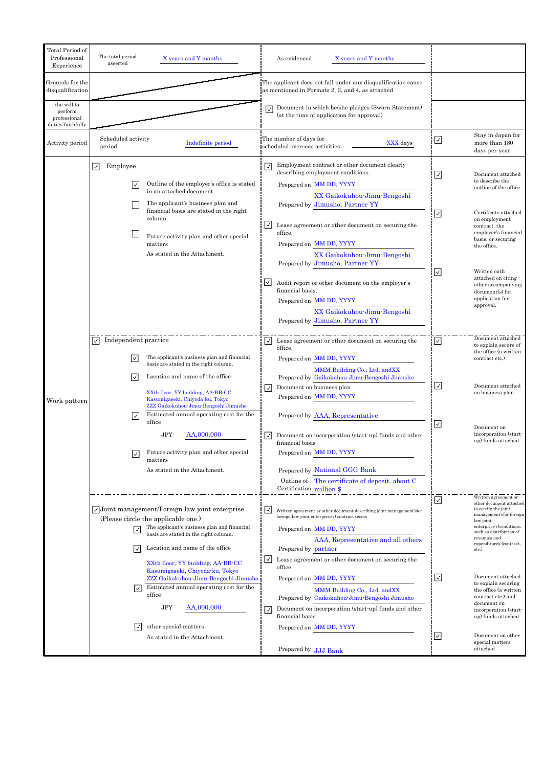| Total Period of<br>Professional<br>Experience               | The total period<br>asserted     | X years and Y months                                                                                                                                                                                                                                                                    |                                    | As evidenced<br>X years and Y months                                                                                                                                                                                                                                                                                                                                                                                                                                                                              |                          |                                                                                                                                                                                                                                                                                                     |
|-------------------------------------------------------------|----------------------------------|-----------------------------------------------------------------------------------------------------------------------------------------------------------------------------------------------------------------------------------------------------------------------------------------|------------------------------------|-------------------------------------------------------------------------------------------------------------------------------------------------------------------------------------------------------------------------------------------------------------------------------------------------------------------------------------------------------------------------------------------------------------------------------------------------------------------------------------------------------------------|--------------------------|-----------------------------------------------------------------------------------------------------------------------------------------------------------------------------------------------------------------------------------------------------------------------------------------------------|
| Grounds for the<br>disqualification                         |                                  |                                                                                                                                                                                                                                                                                         |                                    | The applicant does not fall under any disqualification cause<br>as mentioned in Formats 2, 3, and 4, as attached                                                                                                                                                                                                                                                                                                                                                                                                  |                          |                                                                                                                                                                                                                                                                                                     |
| the will to<br>perform<br>professional<br>duties faithfully |                                  |                                                                                                                                                                                                                                                                                         | $\overline{\mathsf{v}}$            | Document in which he/she pledges (Sworn Statement)<br>(at the time of application for approval)                                                                                                                                                                                                                                                                                                                                                                                                                   |                          |                                                                                                                                                                                                                                                                                                     |
| Activity period                                             | Scheduled activity<br>period     | Indefinite period                                                                                                                                                                                                                                                                       |                                    | The number of days for<br>XXX days<br>scheduled overseas activities                                                                                                                                                                                                                                                                                                                                                                                                                                               | ☑                        | Stay in Japan for<br>more than 180<br>days per year                                                                                                                                                                                                                                                 |
|                                                             | ⊡<br>Employee<br>∣✓∣             | Outline of the employer's office is stated<br>in an attached document.<br>The applicant's business plan and<br>financial basis are stated in the right<br>column.<br>Future activity plan and other special<br>matters<br>As stated in the Attachment.                                  | ∣✓∣<br>⊻<br>$\vert\,$              | Employment contract or other document clearly<br>describing employment conditions.<br>Prepared on MM DD, YYYY<br>XX Gaikokuhou-Jimu-Bengoshi<br>Prepared by Jimusho, Partner YY<br>Lease agreement or other document on securing the<br>office.<br>Prepared on MM DD, YYYY<br>XX Gaikokuhou-Jimu-Bengoshi<br>Prepared by Jimusho, Partner YY<br>Audit report or other document on the employer's<br>financial basis.<br>Prepared on MM DD, YYYY<br>XX Gaikokuhou-Jimu-Bengoshi<br>Prepared by Jimusho, Partner YY | ☑<br>$\sqrt{2}$<br>☑     | Document attached<br>to describe the<br>outline of the office<br>Certificate attached<br>on employment<br>contract, the<br>employer's financial<br>basis, or securing<br>the office.<br>Written oath<br>attached on citing<br>other accompanying<br>document(s) for<br>application for<br>approval. |
| Work pattern                                                | Independent practice<br>$ \vee $ | The applicant's business plan and financial<br>basis are stated in the right column.<br>Location and name of the office<br>XXth floor, YY building, AA-BB-CC<br>Kasumigaseki, Chiyoda-ku, Tokyo<br>ZZZ Gaikokuhou-Jimu-Bengoshi Jimusho                                                 | $\vert \vee \vert$<br>$\checkmark$ | Lease agreement or other document on securing the<br>office.<br>Prepared on MM DD, YYYY<br>MMM Building Co., Ltd. and XX<br>Prepared by Gaikokuhou-Jimu-Bengoshi Jimusho<br>Document on business plan<br>Prepared on MM DD, YYYY                                                                                                                                                                                                                                                                                  | ⊡<br>☑                   | Document attached<br>to explain secure of<br>the office (a written<br>contract etc.)<br>Document attached<br>on business plan                                                                                                                                                                       |
|                                                             | ∣✓∣                              | Estimated annual operating cost for the<br>office<br><b>JPY</b><br>AA,000,000<br>Future activity plan and other special<br>matters<br>As stated in the Attachment.                                                                                                                      |                                    | Prepared by AAA, Representative<br>Document on incorporation (start-up) funds and other<br>financial basis<br>Prepared on MM DD, YYYY<br>Prepared by National GGG Bank<br>Outline of The certificate of deposit, about C<br>Certification million \$                                                                                                                                                                                                                                                              | ☑                        | Document on<br>incorporation (start-<br>up) funds attached                                                                                                                                                                                                                                          |
|                                                             | ∣✓<br>∣✓                         | Joint management/Foreign law joint enterprise<br>(Please circle the applicable one.)<br>The applicant's business plan and financial<br>basis are stated in the right column.<br>Location and name of the office<br>XXth floor, YY building, AA-BB-CC<br>Kasumigaseki, Chiyoda-ku, Tokyo | ∣✓<br>$\checkmark$                 | Written agreement or other document describing joint management's (or<br>foreign law joint enterprise's) contract terms<br>Prepared on MM DD, YYYY<br>AAA, Representative and all others<br>Prepared by partner<br>Lease agreement or other document on securing the<br>office.                                                                                                                                                                                                                                   | $\overline{\mathcal{S}}$ | Written agreement or<br>other document attached<br>to certify the joint<br>management's (or foreign<br>law joint<br>enterprise's)conditions,<br>such as distribution of<br>revenues and<br>expenditures (contract,<br>etc.)                                                                         |
|                                                             | I√                               | ZZZ Gaikokuhou-Jimu-Bengoshi Jimusho<br>Estimated annual operating cost for the<br>office<br><b>JPY</b><br>AA,000,000<br>other special matters                                                                                                                                          | $\vee$                             | Prepared on MM DD, YYYY<br>MMM Building Co., Ltd. and XX<br>Prepared by Gaikokuhou-Jimu-Bengoshi Jimusho<br>Document on incorporation (start-up) funds and other<br>financial basis<br>Prepared on MM DD, YYYY                                                                                                                                                                                                                                                                                                    | ☑                        | Document attached<br>to explain securing<br>the office (a written<br>contract etc.) and<br>document on<br>incorporation (start-<br>up) funds attached                                                                                                                                               |
|                                                             |                                  | As stated in the Attachment.                                                                                                                                                                                                                                                            |                                    | Prepared by JJJ Bank                                                                                                                                                                                                                                                                                                                                                                                                                                                                                              | ☑                        | Document on other<br>special matters<br>attached                                                                                                                                                                                                                                                    |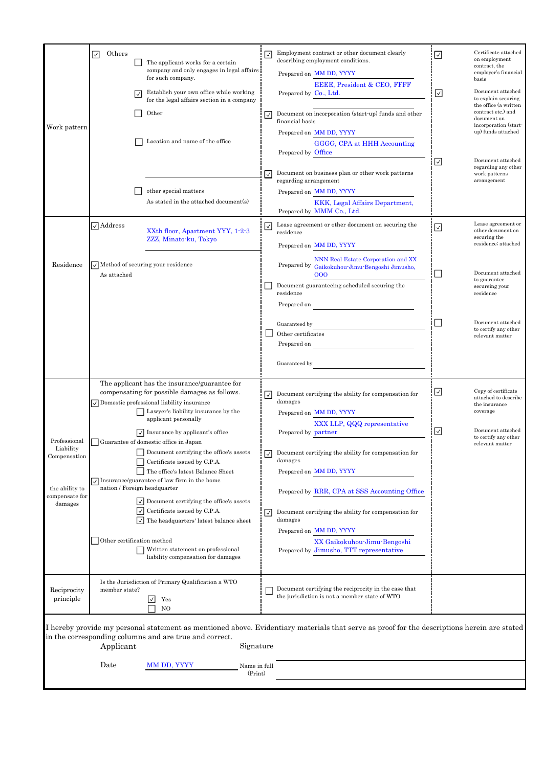|                                           | $\checkmark$                                                                                                                                                                                                                    | Others         |                                                                                                                                                       | The applicant works for a certain<br>company and only engages in legal affairs                                                                                                                                                                                        | $\checkmark$                                                                               | Employment contract or other document clearly<br>describing employment conditions.<br>Prepared on MM DD, YYYY                                    | $\overline{\mathsf{S}}$                      | Certificate attached<br>on employment<br>contract, the<br>employer's financial                |  |
|-------------------------------------------|---------------------------------------------------------------------------------------------------------------------------------------------------------------------------------------------------------------------------------|----------------|-------------------------------------------------------------------------------------------------------------------------------------------------------|-----------------------------------------------------------------------------------------------------------------------------------------------------------------------------------------------------------------------------------------------------------------------|--------------------------------------------------------------------------------------------|--------------------------------------------------------------------------------------------------------------------------------------------------|----------------------------------------------|-----------------------------------------------------------------------------------------------|--|
|                                           |                                                                                                                                                                                                                                 |                | $\checkmark$                                                                                                                                          | for such company.<br>Establish your own office while working<br>for the legal affairs section in a company                                                                                                                                                            |                                                                                            | EEEE, President & CEO, FFFF<br>Prepared by Co., Ltd.                                                                                             | $\overline{\vee}$                            | basis<br>Document attached<br>to explain securing<br>the office (a written                    |  |
| Work pattern                              |                                                                                                                                                                                                                                 |                |                                                                                                                                                       | Other                                                                                                                                                                                                                                                                 | ∣✓                                                                                         | Document on incorporation (start-up) funds and other<br>financial basis                                                                          |                                              | contract etc.) and<br>document on<br>incorporation (start-<br>up) funds attached              |  |
|                                           |                                                                                                                                                                                                                                 |                |                                                                                                                                                       | Location and name of the office                                                                                                                                                                                                                                       |                                                                                            | Prepared on MM DD, YYYY<br>GGGG, CPA at HHH Accounting<br>Prepared by Office                                                                     |                                              |                                                                                               |  |
|                                           |                                                                                                                                                                                                                                 |                |                                                                                                                                                       | other special matters                                                                                                                                                                                                                                                 | ∣✓                                                                                         | Document on business plan or other work patterns<br>regarding arrangement<br>Prepared on MM DD, YYYY                                             | ☑                                            | Document attached<br>regarding any other<br>work patterns<br>arrangement                      |  |
|                                           |                                                                                                                                                                                                                                 |                |                                                                                                                                                       | As stated in the attached document(s)                                                                                                                                                                                                                                 |                                                                                            | KKK, Legal Affairs Department,<br>Prepared by MMM Co., Ltd.                                                                                      |                                              |                                                                                               |  |
|                                           |                                                                                                                                                                                                                                 | $\Box$ Address |                                                                                                                                                       | XXth floor, Apartment YYY, 1-2-3<br>ZZZ, Minato-ku, Tokyo                                                                                                                                                                                                             | ∣✓                                                                                         | Lease agreement or other document on securing the<br>residence<br>Prepared on MM DD, YYYY                                                        | $\overline{\vee}$                            | Lease agreement or<br>other document on<br>securing the<br>residence; attached                |  |
| Residence                                 |                                                                                                                                                                                                                                 | As attached    |                                                                                                                                                       | $\sqrt{\phantom{a}}$ Method of securing your residence                                                                                                                                                                                                                |                                                                                            | NNN Real Estate Corporation and XX<br>Prepared by Gaikokuhou-Jimu-Bengoshi Jimusho,<br>000                                                       |                                              | Document attached<br>to guarantee                                                             |  |
|                                           |                                                                                                                                                                                                                                 |                |                                                                                                                                                       |                                                                                                                                                                                                                                                                       |                                                                                            | Document guaranteeing scheduled securing the<br>residence<br>Prepared on                                                                         |                                              | secureing your<br>residence                                                                   |  |
|                                           |                                                                                                                                                                                                                                 |                |                                                                                                                                                       |                                                                                                                                                                                                                                                                       |                                                                                            | Guaranteed by<br>Other certificates<br>Prepared on                                                                                               | $\Box$                                       | Document attached<br>to certify any other<br>relevant matter                                  |  |
|                                           |                                                                                                                                                                                                                                 |                |                                                                                                                                                       |                                                                                                                                                                                                                                                                       |                                                                                            | Guaranteed by                                                                                                                                    |                                              |                                                                                               |  |
|                                           |                                                                                                                                                                                                                                 |                |                                                                                                                                                       | The applicant has the insurance/guarantee for<br>compensating for possible damages as follows.<br>$\sqrt{\ }$ Domestic professional liability insurance<br>Lawyer's liability insurance by the<br>applicant personally<br>$\sqrt{\ }$ Insurance by applicant's office | ∣✓∣                                                                                        | Document certifying the ability for compensation for<br>damages<br>Prepared on MM DD, YYYY<br>XXX LLP, QQQ representative<br>Prepared by partner | $\overline{\vee}$<br>$\overline{\mathsf{S}}$ | Copy of certificate<br>attached to describe<br>the insurance<br>coverage<br>Document attached |  |
| Professional<br>Liability<br>Compensation |                                                                                                                                                                                                                                 |                | Guarantee of domestic office in Japan<br>Document certifying the office's assets<br>Certificate issued by C.P.A.<br>The office's latest Balance Sheet | $\mathsf{I}\mathsf{I}$                                                                                                                                                                                                                                                | Document certifying the ability for compensation for<br>damages<br>Prepared on MM DD, YYYY |                                                                                                                                                  | to certify any other<br>relevant matter      |                                                                                               |  |
| the ability to<br>compensate for          |                                                                                                                                                                                                                                 |                |                                                                                                                                                       | $\sqrt{\ }$ Insurance/guarantee of law firm in the home<br>nation / Foreign headquarter<br>$\vee$ Document certifying the office's assets                                                                                                                             |                                                                                            | Prepared by RRR, CPA at SSS Accounting Office                                                                                                    |                                              |                                                                                               |  |
| damages                                   |                                                                                                                                                                                                                                 |                | $ \vee $                                                                                                                                              | $\boxed{\checkmark}$ Certificate issued by C.P.A.<br>The headquarters' latest balance sheet                                                                                                                                                                           | ∣✓∣                                                                                        | Document certifying the ability for compensation for<br>damages<br>Prepared on MM DD, YYYY                                                       |                                              |                                                                                               |  |
|                                           |                                                                                                                                                                                                                                 |                |                                                                                                                                                       | Other certification method<br>Written statement on professional<br>liability compensation for damages                                                                                                                                                                 |                                                                                            | XX Gaikokuhou-Jimu-Bengoshi<br>Prepared by Jimusho, TTT representative                                                                           |                                              |                                                                                               |  |
| Reciprocity<br>principle                  |                                                                                                                                                                                                                                 | member state?  |                                                                                                                                                       | Is the Jurisdiction of Primary Qualification a WTO<br>Yes<br>NO                                                                                                                                                                                                       |                                                                                            | Document certifying the reciprocity in the case that<br>the jurisdiction is not a member state of WTO                                            |                                              |                                                                                               |  |
|                                           | I hereby provide my personal statement as mentioned above. Evidentiary materials that serve as proof for the descriptions herein are stated<br>in the corresponding columns and are true and correct.<br>Signature<br>Applicant |                |                                                                                                                                                       |                                                                                                                                                                                                                                                                       |                                                                                            |                                                                                                                                                  |                                              |                                                                                               |  |
|                                           |                                                                                                                                                                                                                                 | Date           |                                                                                                                                                       | MM DD, YYYY<br>Name in full<br>(Print)                                                                                                                                                                                                                                |                                                                                            |                                                                                                                                                  |                                              |                                                                                               |  |
|                                           |                                                                                                                                                                                                                                 |                |                                                                                                                                                       |                                                                                                                                                                                                                                                                       |                                                                                            |                                                                                                                                                  |                                              |                                                                                               |  |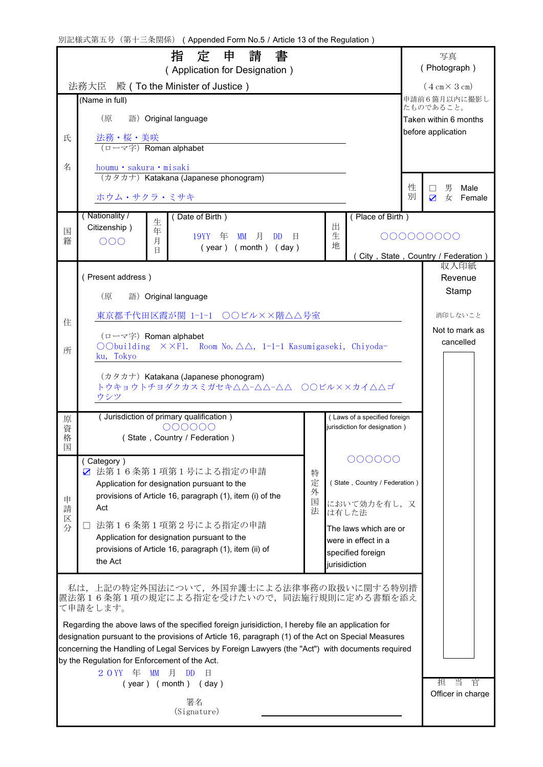別記様式第五号(第十三条関係) (Appended Form No.5 / Article 13 of the Regulation)

| 指 定 申 請 書<br>(Application for Designation)                                                                                                                                                              |                                                                                                                                                                    |        |        |                                          | 写真<br>(Photograph)        |                                             |  |
|---------------------------------------------------------------------------------------------------------------------------------------------------------------------------------------------------------|--------------------------------------------------------------------------------------------------------------------------------------------------------------------|--------|--------|------------------------------------------|---------------------------|---------------------------------------------|--|
| 法務大臣 殿 ( To the Minister of Justice )                                                                                                                                                                   |                                                                                                                                                                    |        |        |                                          |                           | $(4 \text{ cm} \times 3 \text{ cm})$        |  |
|                                                                                                                                                                                                         | (Name in full)                                                                                                                                                     |        |        |                                          | 申請前6箇月以内に撮影し<br>たものであること。 |                                             |  |
|                                                                                                                                                                                                         | (原<br>語) Original language                                                                                                                                         |        |        |                                          |                           | Taken within 6 months<br>before application |  |
| 氏                                                                                                                                                                                                       | <u>法務・桜・美咲</u><br>(ローマ字) <mark>Roman alphabet</mark>                                                                                                               |        |        |                                          |                           |                                             |  |
| 名                                                                                                                                                                                                       | houmu · sakura · misaki<br>(カタカナ) Katakana (Japanese phonogram)                                                                                                    |        |        |                                          |                           |                                             |  |
|                                                                                                                                                                                                         | ホウム・サクラ・ミサキ                                                                                                                                                        |        |        |                                          | 性<br>別                    | 男<br>Male<br>$\perp$<br>☑<br>女<br>Female    |  |
|                                                                                                                                                                                                         | (Nationality /<br>(Date of Birth)<br>生<br>Citizenship)                                                                                                             |        | 出      | (Place of Birth)                         |                           |                                             |  |
| 国<br>籍                                                                                                                                                                                                  | 年<br>19YY 年<br><b>MM</b><br>月<br><b>DD</b><br>日<br>月<br>OOO<br>$(year)$ (month) (day)<br><b>H</b>                                                                  |        | 生<br>地 |                                          |                           | 000000000                                   |  |
|                                                                                                                                                                                                         |                                                                                                                                                                    |        |        |                                          |                           | (City, State, Country / Federation)<br>収入印紙 |  |
|                                                                                                                                                                                                         | (Present address)                                                                                                                                                  |        |        |                                          |                           | Revenue                                     |  |
|                                                                                                                                                                                                         | (原<br>語) Original language                                                                                                                                         |        |        |                                          |                           | Stamp                                       |  |
| 住                                                                                                                                                                                                       | 東京都千代田区霞が関 1-1-1 ○○ビル××階△△号室                                                                                                                                       |        |        |                                          |                           | 消印しないこと                                     |  |
| 所                                                                                                                                                                                                       | $(\Box \neg \neg \Diamond \nexists)$ Roman alphabet<br>OObuilding $\times$ $\times$ Fl. Room No. $\triangle \triangle$ , 1-1-1 Kasumigaseki, Chiyoda-<br>ku, Tokyo |        |        |                                          |                           |                                             |  |
|                                                                                                                                                                                                         | (カタカナ) Katakana (Japanese phonogram)<br>トウキョウトチヨダクカスミガセキ△△-△△-△△ ○○ビル××カイ△△ゴ<br>ウシツ                                                                                |        |        |                                          |                           |                                             |  |
| 原                                                                                                                                                                                                       | (Jurisdiction of primary qualification)                                                                                                                            |        |        | (Laws of a specified foreign             |                           |                                             |  |
| 資<br>格<br>国                                                                                                                                                                                             | 000000<br>jurisdiction for designation)<br>(State, Country / Federation)                                                                                           |        |        |                                          |                           |                                             |  |
|                                                                                                                                                                                                         | (Category)                                                                                                                                                         |        |        | 000000                                   |                           |                                             |  |
|                                                                                                                                                                                                         | ☑ 法第16条第1項第1号による指定の申請<br>Application for designation pursuant to the                                                                                               | 特<br>定 |        | (State, Country / Federation)            |                           |                                             |  |
| 申                                                                                                                                                                                                       | 外<br>provisions of Article 16, paragraph (1), item (i) of the                                                                                                      |        |        |                                          |                           |                                             |  |
| 請<br>区                                                                                                                                                                                                  | Act                                                                                                                                                                | 国<br>法 |        | において効力を有し、又<br>は有した法                     |                           |                                             |  |
| 分                                                                                                                                                                                                       | 法第16条第1項第2号による指定の申請<br>Application for designation pursuant to the                                                                                                 |        |        | The laws which are or                    |                           |                                             |  |
|                                                                                                                                                                                                         | provisions of Article 16, paragraph (1), item (ii) of                                                                                                              |        |        | were in effect in a<br>specified foreign |                           |                                             |  |
|                                                                                                                                                                                                         | the Act                                                                                                                                                            |        |        | jurisidiction                            |                           |                                             |  |
|                                                                                                                                                                                                         | 私は、上記の特定外国法について、外国弁護士による法律事務の取扱いに関する特別措<br> 置法第16条第1項の規定による指定を受けたいので、同法施行規則に定める書類を添え<br>て申請をします。                                                                   |        |        |                                          |                           |                                             |  |
| Regarding the above laws of the specified foreign jurisidiction, I hereby file an application for<br>designation pursuant to the provisions of Article 16, paragraph (1) of the Act on Special Measures |                                                                                                                                                                    |        |        |                                          |                           |                                             |  |
| concerning the Handling of Legal Services by Foreign Lawyers (the "Act") with documents required<br>by the Regulation for Enforcement of the Act.                                                       |                                                                                                                                                                    |        |        |                                          |                           |                                             |  |
|                                                                                                                                                                                                         |                                                                                                                                                                    |        |        |                                          |                           |                                             |  |
|                                                                                                                                                                                                         | 担<br>当<br>官<br>Officer in charge                                                                                                                                   |        |        |                                          |                           |                                             |  |
|                                                                                                                                                                                                         |                                                                                                                                                                    |        |        |                                          |                           |                                             |  |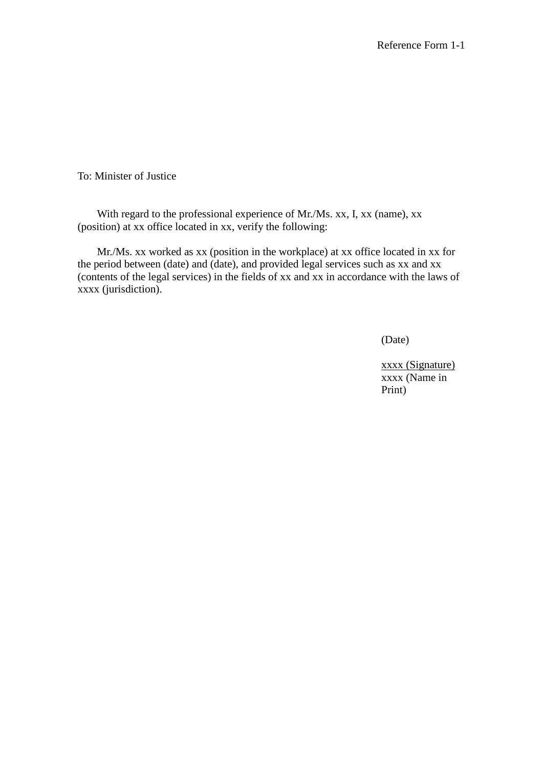To: Minister of Justice

With regard to the professional experience of Mr./Ms. xx, I, xx (name), xx (position) at xx office located in xx, verify the following:

Mr./Ms. xx worked as xx (position in the workplace) at xx office located in xx for the period between (date) and (date), and provided legal services such as xx and xx (contents of the legal services) in the fields of xx and xx in accordance with the laws of xxxx (jurisdiction).

(Date)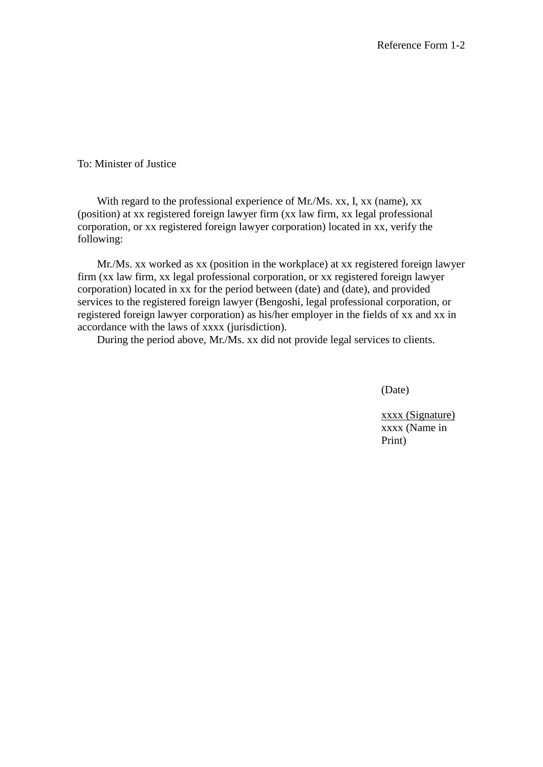To: Minister of Justice

With regard to the professional experience of Mr./Ms. xx, I, xx (name), xx (position) at xx registered foreign lawyer firm (xx law firm, xx legal professional corporation, or xx registered foreign lawyer corporation) located in xx, verify the following:

Mr./Ms. xx worked as xx (position in the workplace) at xx registered foreign lawyer firm (xx law firm, xx legal professional corporation, or xx registered foreign lawyer corporation) located in xx for the period between (date) and (date), and provided services to the registered foreign lawyer (Bengoshi, legal professional corporation, or registered foreign lawyer corporation) as his/her employer in the fields of xx and xx in accordance with the laws of xxxx (jurisdiction).

During the period above, Mr./Ms. xx did not provide legal services to clients.

(Date)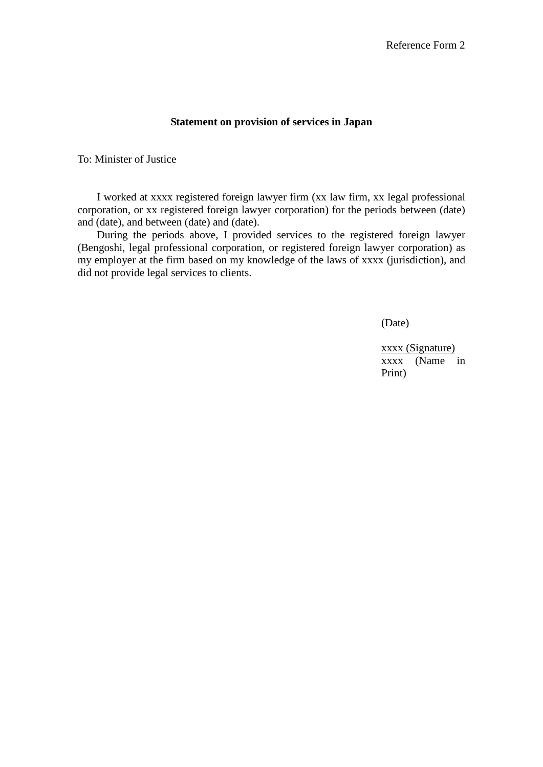#### **Statement on provision of services in Japan**

To: Minister of Justice

I worked at xxxx registered foreign lawyer firm (xx law firm, xx legal professional corporation, or xx registered foreign lawyer corporation) for the periods between (date) and (date), and between (date) and (date).

During the periods above, I provided services to the registered foreign lawyer (Bengoshi, legal professional corporation, or registered foreign lawyer corporation) as my employer at the firm based on my knowledge of the laws of xxxx (jurisdiction), and did not provide legal services to clients.

(Date)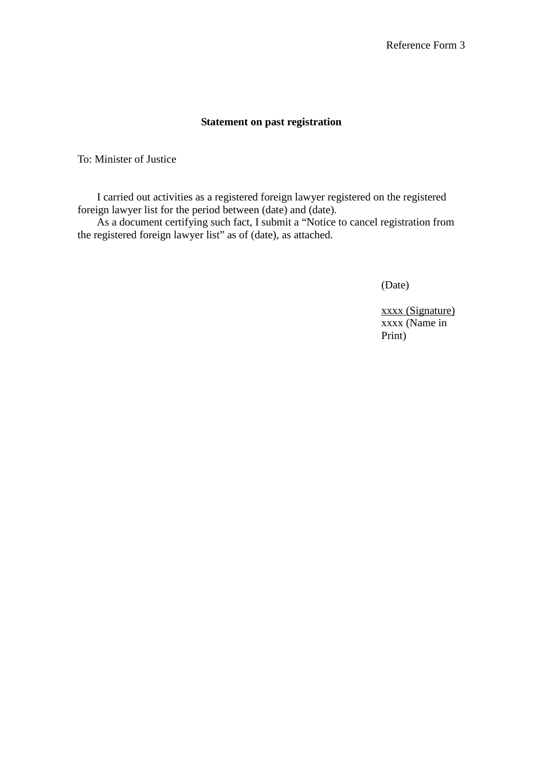#### **Statement on past registration**

To: Minister of Justice

I carried out activities as a registered foreign lawyer registered on the registered foreign lawyer list for the period between (date) and (date).

As a document certifying such fact, I submit a "Notice to cancel registration from the registered foreign lawyer list" as of (date), as attached.

(Date)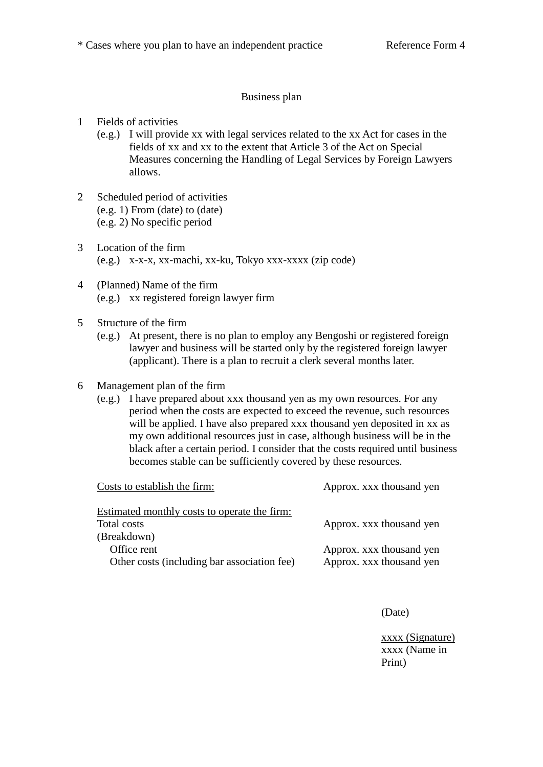#### Business plan

- 1 Fields of activities
	- (e.g.) I will provide xx with legal services related to the xx Act for cases in the fields of xx and xx to the extent that Article 3 of the Act on Special Measures concerning the Handling of Legal Services by Foreign Lawyers allows.
- 2 Scheduled period of activities (e.g. 1) From (date) to (date) (e.g. 2) No specific period
- 3 Location of the firm (e.g.) x-x-x, xx-machi, xx-ku, Tokyo xxx-xxxx (zip code)
- 4 (Planned) Name of the firm (e.g.) xx registered foreign lawyer firm
- 5 Structure of the firm
	- (e.g.) At present, there is no plan to employ any Bengoshi or registered foreign lawyer and business will be started only by the registered foreign lawyer (applicant). There is a plan to recruit a clerk several months later.
- 6 Management plan of the firm
	- (e.g.) I have prepared about xxx thousand yen as my own resources. For any period when the costs are expected to exceed the revenue, such resources will be applied. I have also prepared xxx thousand yen deposited in xx as my own additional resources just in case, although business will be in the black after a certain period. I consider that the costs required until business becomes stable can be sufficiently covered by these resources.

| Costs to establish the firm:                 | Approx. xxx thousand yen |  |  |  |  |  |
|----------------------------------------------|--------------------------|--|--|--|--|--|
| Estimated monthly costs to operate the firm: |                          |  |  |  |  |  |
| Total costs                                  | Approx. xxx thousand yen |  |  |  |  |  |
| (Breakdown)                                  |                          |  |  |  |  |  |
| Office rent                                  | Approx. xxx thousand yen |  |  |  |  |  |
| Other costs (including bar association fee)  | Approx. xxx thousand yen |  |  |  |  |  |
|                                              |                          |  |  |  |  |  |

(Date)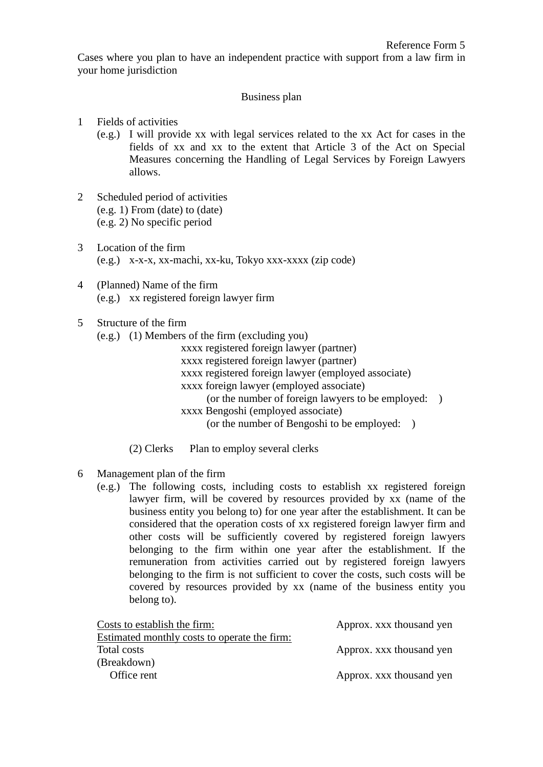Cases where you plan to have an independent practice with support from a law firm in your home jurisdiction

#### Business plan

#### 1 Fields of activities

- (e.g.) I will provide xx with legal services related to the xx Act for cases in the fields of xx and xx to the extent that Article 3 of the Act on Special Measures concerning the Handling of Legal Services by Foreign Lawyers allows.
- 2 Scheduled period of activities (e.g. 1) From (date) to (date) (e.g. 2) No specific period
- 3 Location of the firm (e.g.) x-x-x, xx-machi, xx-ku, Tokyo xxx-xxxx (zip code)
- 4 (Planned) Name of the firm (e.g.) xx registered foreign lawyer firm

#### 5 Structure of the firm

- (e.g.) (1) Members of the firm (excluding you)
	- xxxx registered foreign lawyer (partner)
	- xxxx registered foreign lawyer (partner)
	- xxxx registered foreign lawyer (employed associate)
	- xxxx foreign lawyer (employed associate)
		- (or the number of foreign lawyers to be employed: )
	- xxxx Bengoshi (employed associate)
		- (or the number of Bengoshi to be employed: )
	- (2) Clerks Plan to employ several clerks

#### 6 Management plan of the firm

(e.g.) The following costs, including costs to establish xx registered foreign lawyer firm, will be covered by resources provided by xx (name of the business entity you belong to) for one year after the establishment. It can be considered that the operation costs of xx registered foreign lawyer firm and other costs will be sufficiently covered by registered foreign lawyers belonging to the firm within one year after the establishment. If the remuneration from activities carried out by registered foreign lawyers belonging to the firm is not sufficient to cover the costs, such costs will be covered by resources provided by xx (name of the business entity you belong to).

| Costs to establish the firm:                 | Approx. xxx thousand yen |  |  |  |
|----------------------------------------------|--------------------------|--|--|--|
| Estimated monthly costs to operate the firm: |                          |  |  |  |
| Total costs                                  | Approx. xxx thousand yen |  |  |  |
| (Breakdown)                                  |                          |  |  |  |
| Office rent                                  | Approx. xxx thousand yen |  |  |  |
|                                              |                          |  |  |  |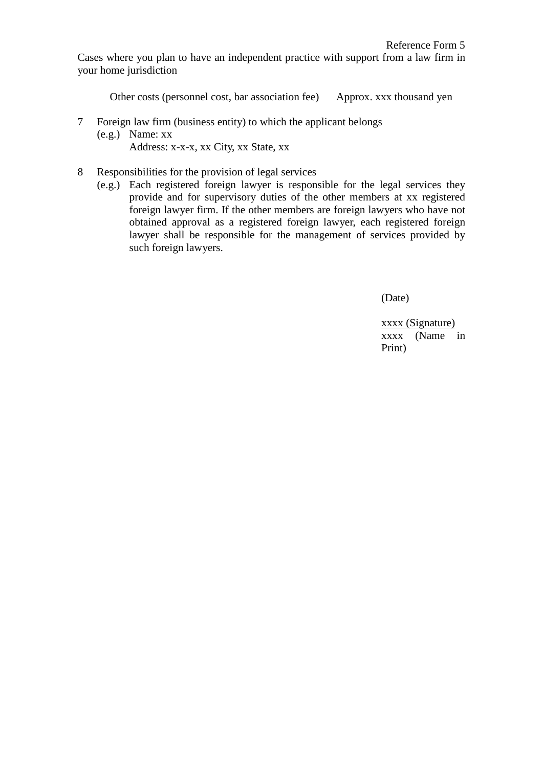Cases where you plan to have an independent practice with support from a law firm in your home jurisdiction

Other costs (personnel cost, bar association fee) Approx. xxx thousand yen

- 7 Foreign law firm (business entity) to which the applicant belongs (e.g.) Name: xx Address: x-x-x, xx City, xx State, xx
- 8 Responsibilities for the provision of legal services
	- (e.g.) Each registered foreign lawyer is responsible for the legal services they provide and for supervisory duties of the other members at xx registered foreign lawyer firm. If the other members are foreign lawyers who have not obtained approval as a registered foreign lawyer, each registered foreign lawyer shall be responsible for the management of services provided by such foreign lawyers.

(Date)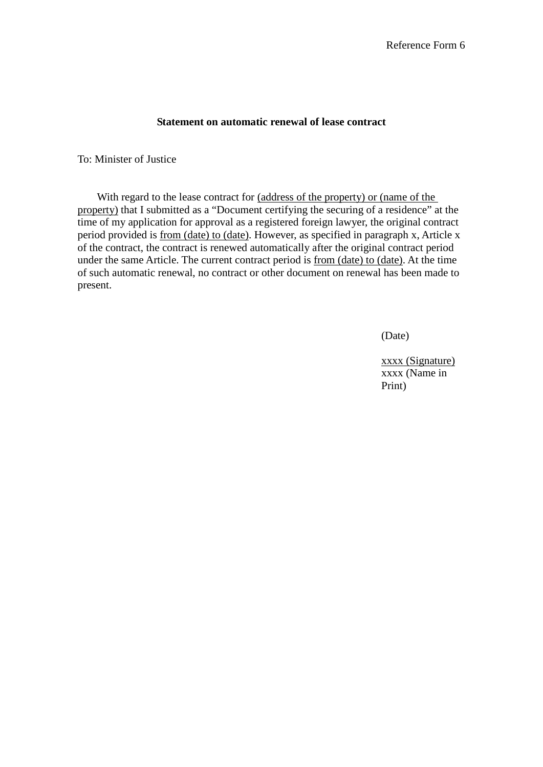#### **Statement on automatic renewal of lease contract**

To: Minister of Justice

With regard to the lease contract for (address of the property) or (name of the property) that I submitted as a "Document certifying the securing of a residence" at the time of my application for approval as a registered foreign lawyer, the original contract period provided is from (date) to (date). However, as specified in paragraph x, Article x of the contract, the contract is renewed automatically after the original contract period under the same Article. The current contract period is from (date) to (date). At the time of such automatic renewal, no contract or other document on renewal has been made to present.

(Date)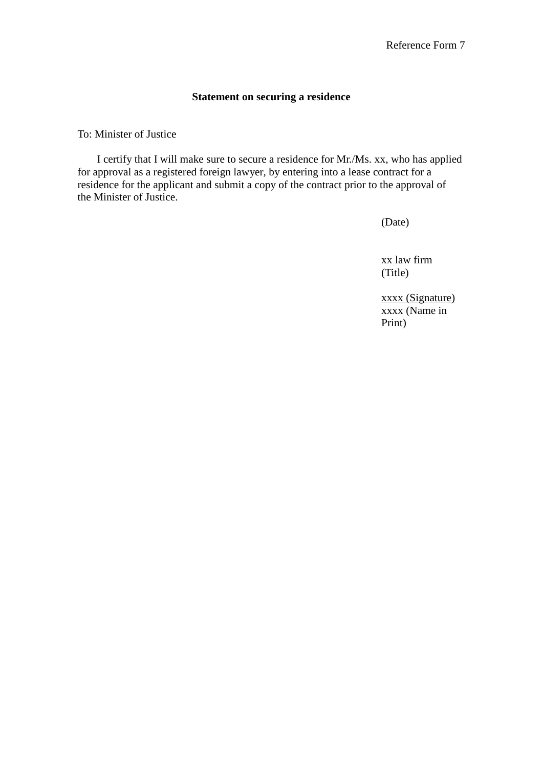#### **Statement on securing a residence**

To: Minister of Justice

I certify that I will make sure to secure a residence for Mr./Ms. xx, who has applied for approval as a registered foreign lawyer, by entering into a lease contract for a residence for the applicant and submit a copy of the contract prior to the approval of the Minister of Justice.

(Date)

xx law firm (Title)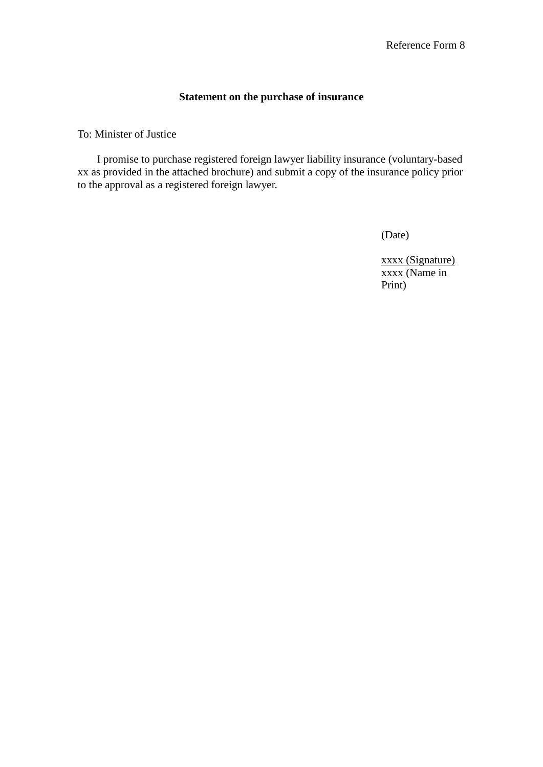#### **Statement on the purchase of insurance**

To: Minister of Justice

I promise to purchase registered foreign lawyer liability insurance (voluntary-based xx as provided in the attached brochure) and submit a copy of the insurance policy prior to the approval as a registered foreign lawyer.

(Date)